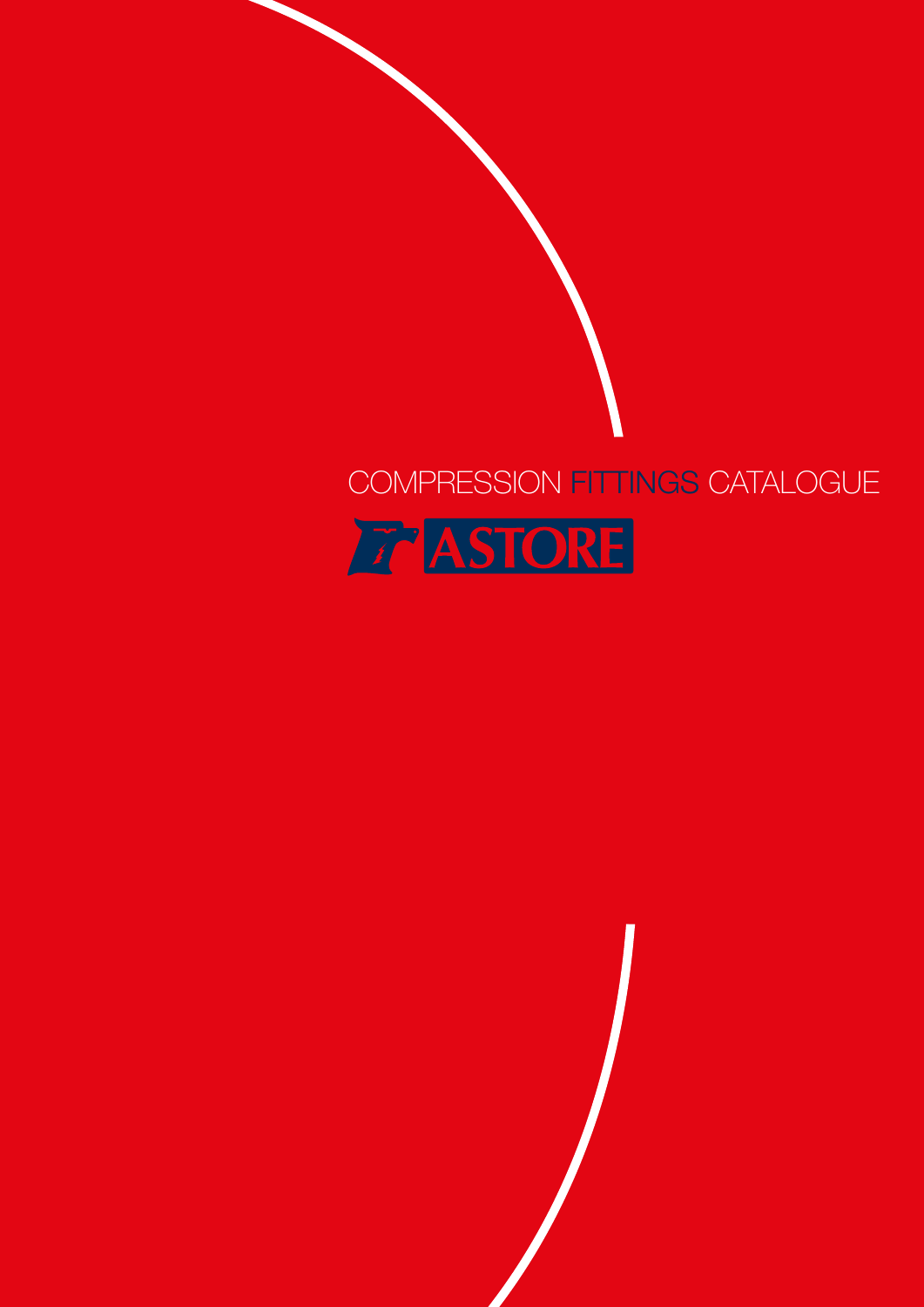# COMPRESSION FITTINGS CATALOGUE



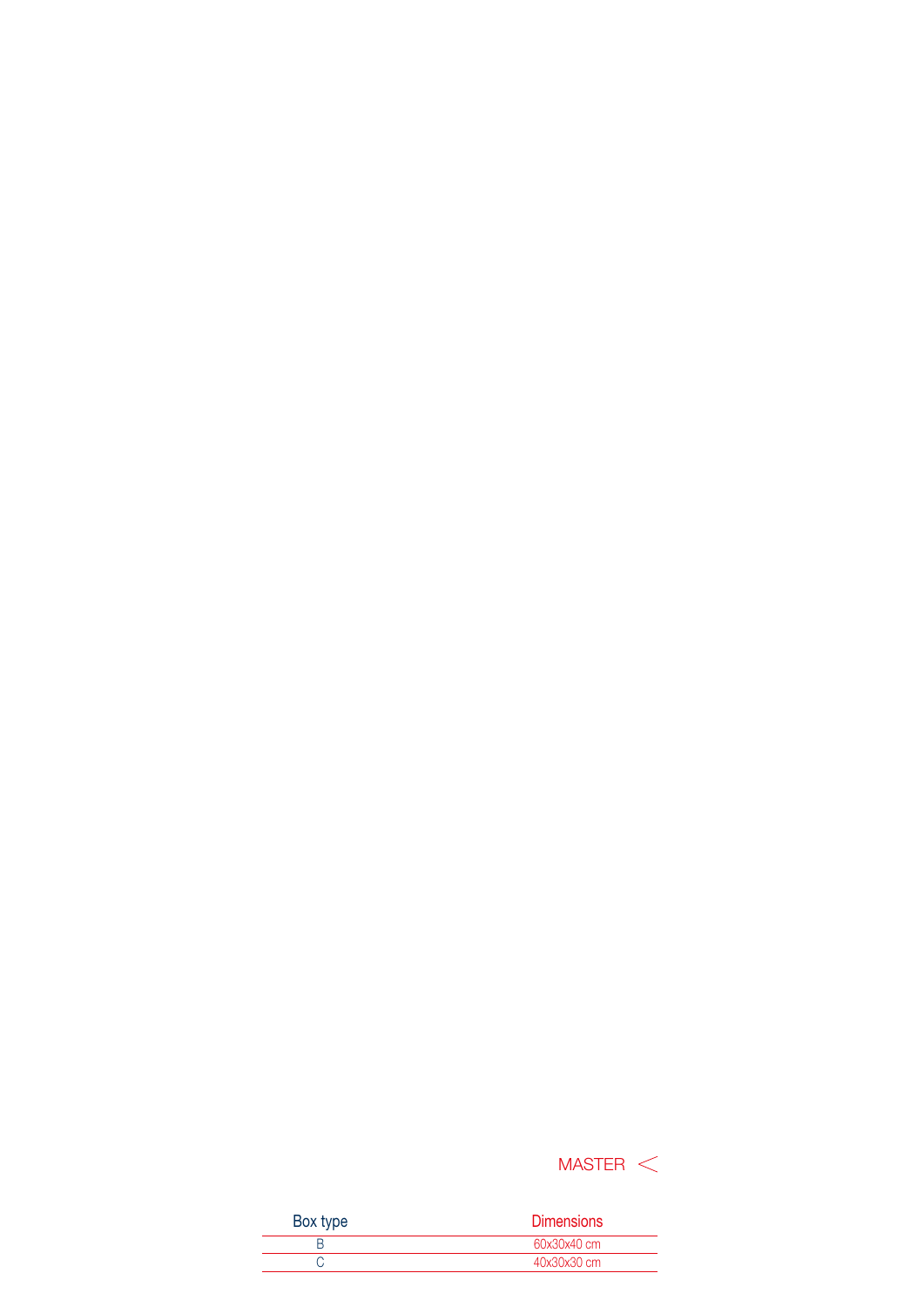## $MASTER <$

| <b>Dimensions</b> |
|-------------------|
| 60x30x40 cm       |
| 40x30x30 cm       |
|                   |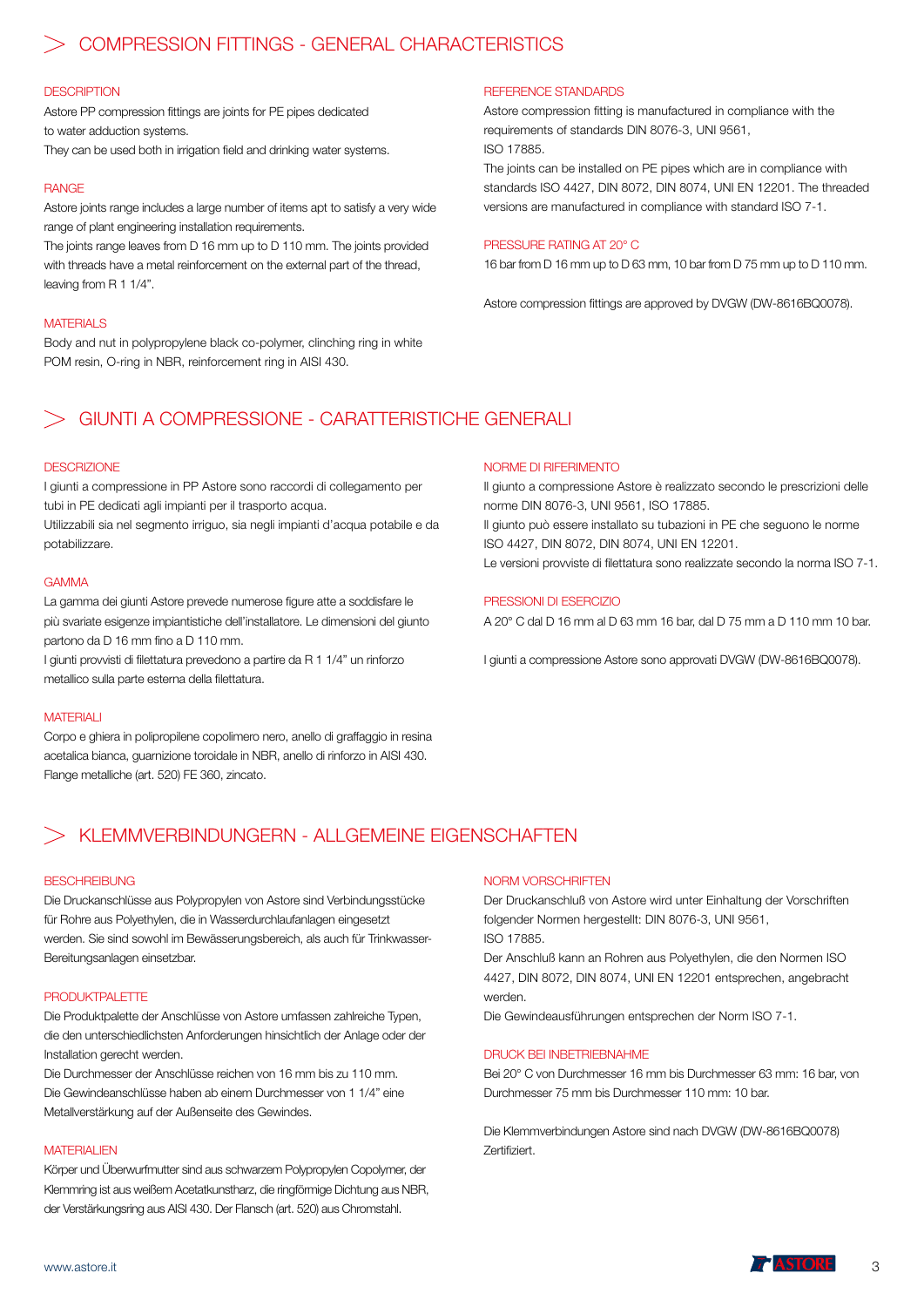### COMPRESSION FITTINGS - GENERAL CHARACTERISTICS

#### **DESCRIPTION**

Astore PP compression fittings are joints for PE pipes dedicated to water adduction systems.

They can be used both in irrigation field and drinking water systems.

#### RANGE

Astore joints range includes a large number of items apt to satisfy a very wide range of plant engineering installation requirements.

The joints range leaves from D 16 mm up to D 110 mm. The joints provided with threads have a metal reinforcement on the external part of the thread, leaving from R 1 1/4".

#### **MATERIALS**

Body and nut in polypropylene black co-polymer, clinching ring in white POM resin, O-ring in NBR, reinforcement ring in AISI 430.

#### REFERENCE STANDARDS

Astore compression fitting is manufactured in compliance with the requirements of standards DIN 8076-3, UNI 9561, ISO 17885.

The joints can be installed on PE pipes which are in compliance with standards ISO 4427, DIN 8072, DIN 8074, UNI EN 12201. The threaded versions are manufactured in compliance with standard ISO 7-1.

#### PRESSURE RATING AT 20° C

16 bar from D 16 mm up to D 63 mm, 10 bar from D 75 mm up to D 110 mm.

Astore compression fittings are approved by DVGW (DW-8616BQ0078).

## GIUNTI A COMPRESSIONE - CARATTERISTICHE GENERALI

#### **DESCRIZIONE**

I giunti a compressione in PP Astore sono raccordi di collegamento per tubi in PE dedicati agli impianti per il trasporto acqua.

Utilizzabili sia nel segmento irriguo, sia negli impianti d'acqua potabile e da potabilizzare.

#### GAMMA

La gamma dei giunti Astore prevede numerose figure atte a soddisfare le più svariate esigenze impiantistiche dell'installatore. Le dimensioni del giunto partono da D 16 mm fino a D 110 mm.

I giunti provvisti di filettatura prevedono a partire da R 1 1/4" un rinforzo metallico sulla parte esterna della filettatura.

#### MATERIALI

Corpo e ghiera in polipropilene copolimero nero, anello di graffaggio in resina acetalica bianca, guarnizione toroidale in NBR, anello di rinforzo in AISI 430. Flange metalliche (art. 520) FE 360, zincato.

#### NORME DI RIFERIMENTO

Il giunto a compressione Astore è realizzato secondo le prescrizioni delle norme DIN 8076-3, UNI 9561, ISO 17885. Il giunto può essere installato su tubazioni in PE che seguono le norme ISO 4427, DIN 8072, DIN 8074, UNI EN 12201. Le versioni provviste di filettatura sono realizzate secondo la norma ISO 7-1.

#### PRESSIONI DI ESERCIZIO

A 20° C dal D 16 mm al D 63 mm 16 bar, dal D 75 mm a D 110 mm 10 bar.

I giunti a compressione Astore sono approvati DVGW (DW-8616BQ0078).

### KLEMMVERBINDUNGERN - ALLGEMEINE EIGENSCHAFTEN

#### **BESCHREIBUNG**

Die Druckanschlüsse aus Polypropylen von Astore sind Verbindungsstücke für Rohre aus Polyethylen, die in Wasserdurchlaufanlagen eingesetzt werden. Sie sind sowohl im Bewässerungsbereich, als auch für Trinkwasser-Bereitungsanlagen einsetzbar.

#### PRODUKTPALETTE

Die Produktpalette der Anschlüsse von Astore umfassen zahlreiche Typen, die den unterschiedlichsten Anforderungen hinsichtlich der Anlage oder der Installation gerecht werden.

Die Durchmesser der Anschlüsse reichen von 16 mm bis zu 110 mm. Die Gewindeanschlüsse haben ab einem Durchmesser von 1 1/4" eine Metallverstärkung auf der Außenseite des Gewindes.

#### **MATERIALIEN**

Körper und Überwurfmutter sind aus schwarzem Polypropylen Copolymer, der Klemmring ist aus weißem Acetatkunstharz, die ringförmige Dichtung aus NBR, der Verstärkungsring aus AISI 430. Der Flansch (art. 520) aus Chromstahl.

#### NORM VORSCHRIFTEN

Der Druckanschluß von Astore wird unter Einhaltung der Vorschriften folgender Normen hergestellt: DIN 8076-3, UNI 9561, ISO 17885.

Der Anschluß kann an Rohren aus Polyethylen, die den Normen ISO 4427, DIN 8072, DIN 8074, UNI EN 12201 entsprechen, angebracht werden.

Die Gewindeausführungen entsprechen der Norm ISO 7-1.

#### DRUCK BEI INBETRIEBNAHME

Bei 20° C von Durchmesser 16 mm bis Durchmesser 63 mm: 16 bar, von Durchmesser 75 mm bis Durchmesser 110 mm: 10 bar.

Die Klemmverbindungen Astore sind nach DVGW (DW-8616BQ0078) Zertifiziert.

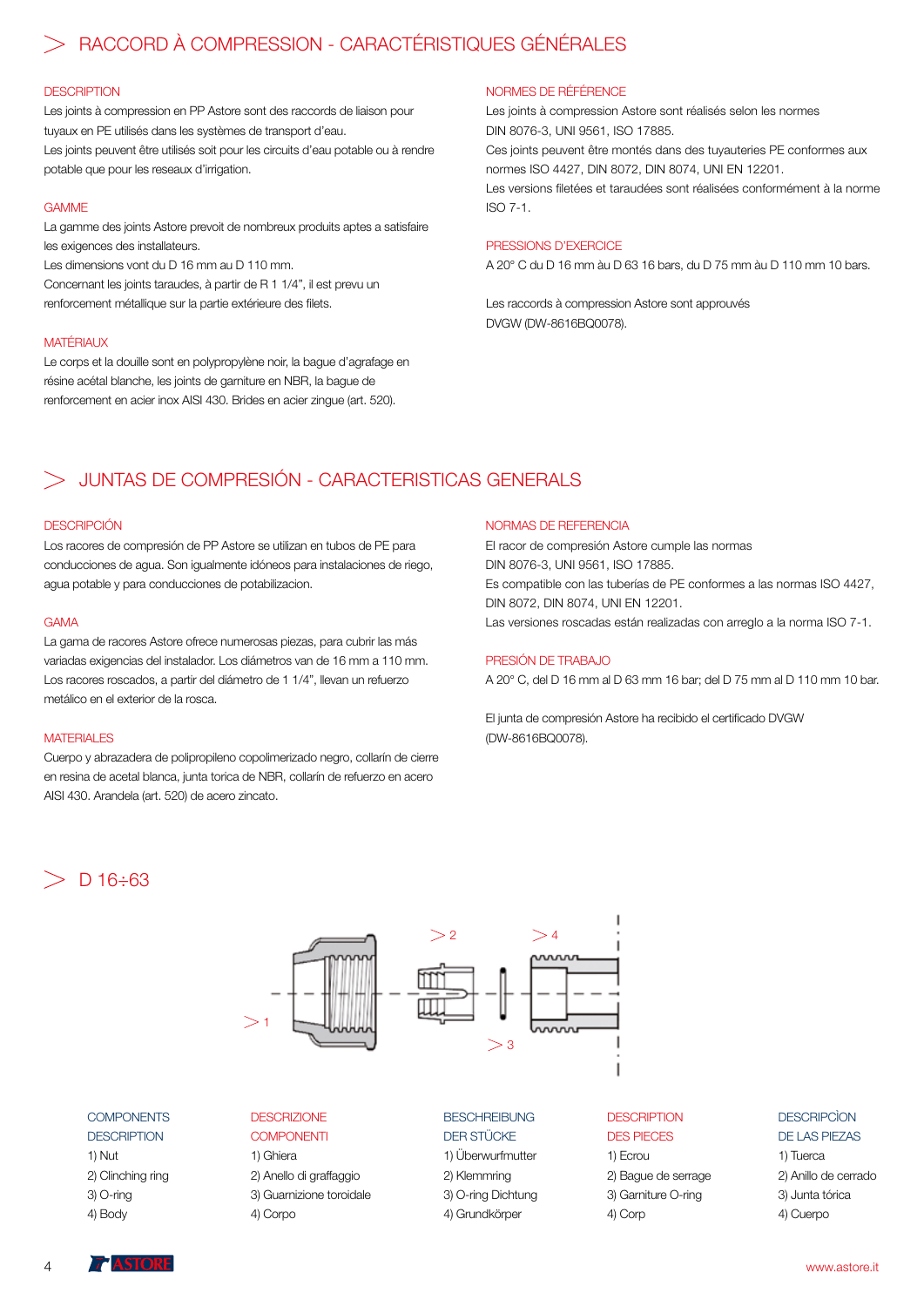## RACCORD À COMPRESSION - CARACTÉRISTIQUES GÉNÉRALES

#### **DESCRIPTION**

Les joints à compression en PP Astore sont des raccords de liaison pour tuyaux en PE utilisés dans les systèmes de transport d'eau. Les joints peuvent être utilisés soit pour les circuits d'eau potable ou à rendre potable que pour les reseaux d'irrigation.

#### GAMME

La gamme des joints Astore prevoit de nombreux produits aptes a satisfaire les exigences des installateurs.

Les dimensions vont du D 16 mm au D 110 mm. Concernant les joints taraudes, à partir de R 1 1/4", il est prevu un renforcement métallique sur la partie extérieure des filets.

#### **MATÉRIAUX**

Le corps et la douille sont en polypropylène noir, la bague d'agrafage en résine acétal blanche, les joints de garniture en NBR, la bague de renforcement en acier inox AISI 430. Brides en acier zingue (art. 520).

#### NORMES DE RÉFÉRENCE

Les joints à compression Astore sont réalisés selon les normes DIN 8076-3, UNI 9561, ISO 17885. Ces joints peuvent être montés dans des tuyauteries PE conformes aux normes ISO 4427, DIN 8072, DIN 8074, UNI EN 12201. Les versions filetées et taraudées sont réalisées conformément à la norme

 $I.S. O.7-1.$ 

#### PRESSIONS D'EXERCICE

A 20° C du D 16 mm àu D 63 16 bars, du D 75 mm àu D 110 mm 10 bars.

Les raccords à compression Astore sont approuvés DVGW (DW-8616BQ0078).

## JUNTAS DE COMPRESIÓN - CARACTERISTICAS GENERALS

#### **DESCRIPCIÓN**

Los racores de compresión de PP Astore se utilizan en tubos de PE para conducciones de agua. Son igualmente idóneos para instalaciones de riego, agua potable y para conducciones de potabilizacion.

#### GAMA

La gama de racores Astore ofrece numerosas piezas, para cubrir las más variadas exigencias del instalador. Los diámetros van de 16 mm a 110 mm. Los racores roscados, a partir del diámetro de 1 1/4", llevan un refuerzo metálico en el exterior de la rosca.

#### **MATERIALES**

Cuerpo y abrazadera de polipropileno copolimerizado negro, collarín de cierre en resina de acetal blanca, junta torica de NBR, collarín de refuerzo en acero AISI 430. Arandela (art. 520) de acero zincato.

#### NORMAS DE REFERENCIA

El racor de compresión Astore cumple las normas DIN 8076-3, UNI 9561, ISO 17885. Es compatible con las tuberías de PE conformes a las normas ISO 4427, DIN 8072, DIN 8074, UNI EN 12201. Las versiones roscadas están realizadas con arreglo a la norma ISO 7-1.

#### PRESIÓN DE TRABAJO

A 20° C, del D 16 mm al D 63 mm 16 bar; del D 75 mm al D 110 mm 10 bar.

El junta de compresión Astore ha recibido el certificado DVGW (DW-8616BQ0078).

## $D$  16  $\div$ 63



#### **COMPONENTS**

**DESCRIPTION** 1) Nut 2) Clinching ring 3) O-ring 4) Body

#### **DESCRIZIONE**

**COMPONENTI** 1) Ghiera 2) Anello di graffaggio 3) Guarnizione toroidale 4) Corpo

#### BESCHREIBUNG DER STÜCKE

1) Überwurfmutter 2) Klemmring 3) O-ring Dichtung 4) Grundkörper

#### **DESCRIPTION** DES PIECES

#### 1) Ecrou 2) Bague de serrage 3) Garniture O-ring 4) Corp

#### **DESCRIPCÌON** DE LAS PIEZAS

1) Tuerca 2) Anillo de cerrado 3) Junta tórica 4) Cuerpo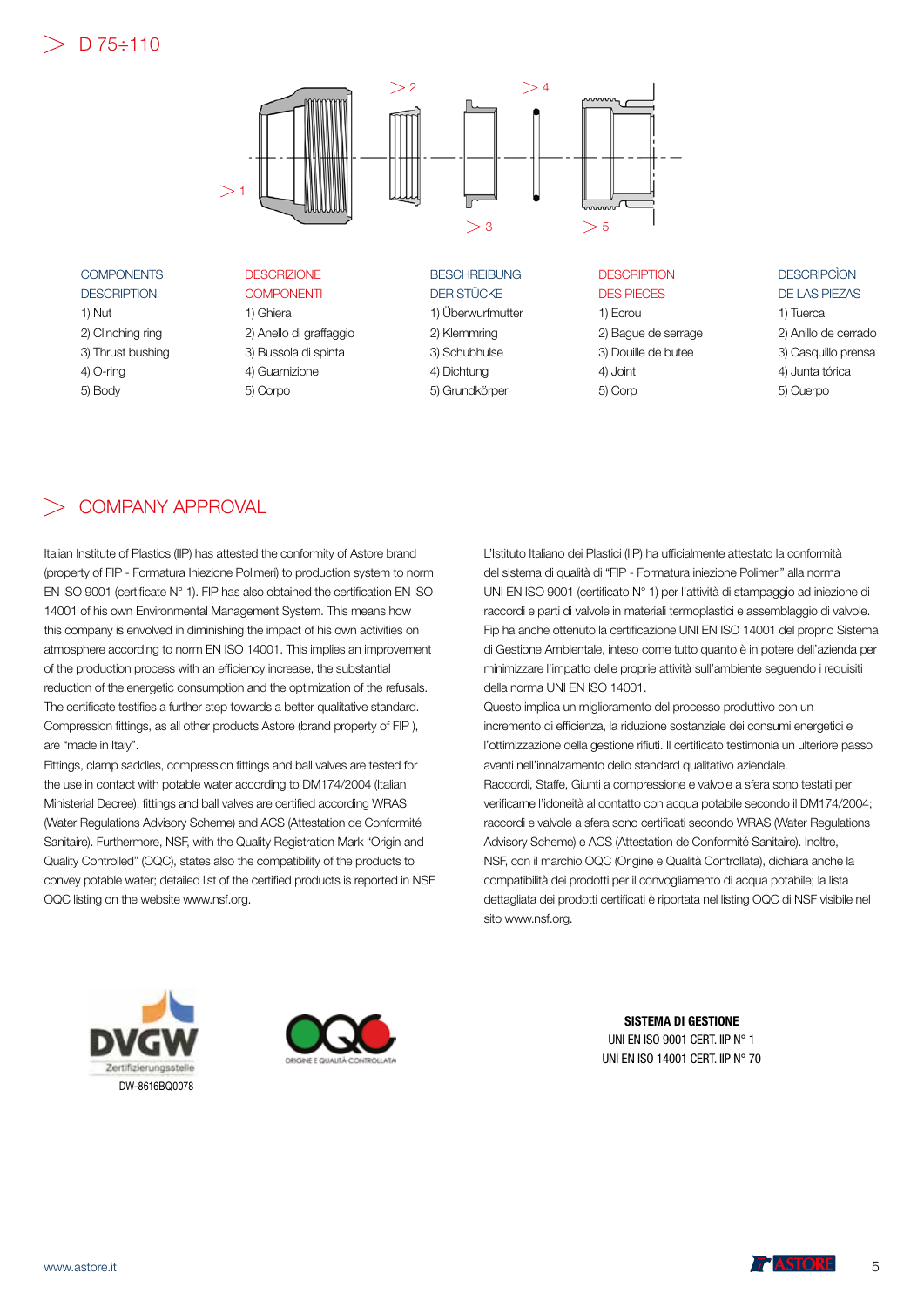## $>$  D 75÷110



**COMPONENTS DESCRIPTION** 1) Nut 2) Clinching ring 3) Thrust bushing 4) O-ring 5) Body

**DESCRIZIONE COMPONENTI** 1) Ghiera 2) Anello di graffaggio 3) Bussola di spinta 4) Guarnizione 5) Corpo

**BESCHREIBUNG** DER STÜCKE 1) Überwurfmutter 2) Klemmring 3) Schubhulse 4) Dichtung 5) Grundkörper

**DESCRIPTION** DES PIECES 1) Ecrou 2) Bague de serrage 3) Douille de butee

4) Joint 5) Corp

#### **DESCRIPCÌON** DE LAS PIEZAS

1) Tuerca 2) Anillo de cerrado 3) Casquillo prensa 4) Junta tórica 5) Cuerpo

## COMPANY APPROVAL

Italian Institute of Plastics (IIP) has attested the conformity of Astore brand (property of FIP - Formatura Iniezione Polimeri) to production system to norm EN ISO 9001 (certificate N° 1). FIP has also obtained the certification EN ISO 14001 of his own Environmental Management System. This means how this company is envolved in diminishing the impact of his own activities on atmosphere according to norm EN ISO 14001. This implies an improvement of the production process with an efficiency increase, the substantial reduction of the energetic consumption and the optimization of the refusals. The certificate testifies a further step towards a better qualitative standard. Compression fittings, as all other products Astore (brand property of FIP ), are "made in Italy".

Fittings, clamp saddles, compression fittings and ball valves are tested for the use in contact with potable water according to DM174/2004 (Italian Ministerial Decree); fittings and ball valves are certified according WRAS (Water Regulations Advisory Scheme) and ACS (Attestation de Conformité Sanitaire). Furthermore, NSF, with the Quality Registration Mark "Origin and Quality Controlled" (OQC), states also the compatibility of the products to convey potable water; detailed list of the certified products is reported in NSF OQC listing on the website www.nsf.org.

L'Istituto Italiano dei Plastici (IIP) ha ufficialmente attestato la conformità del sistema di qualità di "FIP - Formatura iniezione Polimeri" alla norma UNI EN ISO 9001 (certificato N° 1) per l'attività di stampaggio ad iniezione di raccordi e parti di valvole in materiali termoplastici e assemblaggio di valvole. Fip ha anche ottenuto la certificazione UNI EN ISO 14001 del proprio Sistema di Gestione Ambientale, inteso come tutto quanto è in potere dell'azienda per minimizzare l'impatto delle proprie attività sull'ambiente seguendo i requisiti della norma UNI EN ISO 14001.

Questo implica un miglioramento del processo produttivo con un incremento di efficienza, la riduzione sostanziale dei consumi energetici e l'ottimizzazione della gestione rifiuti. Il certificato testimonia un ulteriore passo avanti nell'innalzamento dello standard qualitativo aziendale. Raccordi, Staffe, Giunti a compressione e valvole a sfera sono testati per verificarne l'idoneità al contatto con acqua potabile secondo il DM174/2004; raccordi e valvole a sfera sono certificati secondo WRAS (Water Regulations Advisory Scheme) e ACS (Attestation de Conformité Sanitaire). Inoltre, NSF, con il marchio OQC (Origine e Qualità Controllata), dichiara anche la compatibilità dei prodotti per il convogliamento di acqua potabile; la lista dettagliata dei prodotti certificati è riportata nel listing OQC di NSF visibile nel sito www.nsf.org.





SISTEMA DI GESTIONE UNI EN ISO 9001 CERT. IIP N° 1 UNI EN ISO 14001 CERT. IIP N° 70

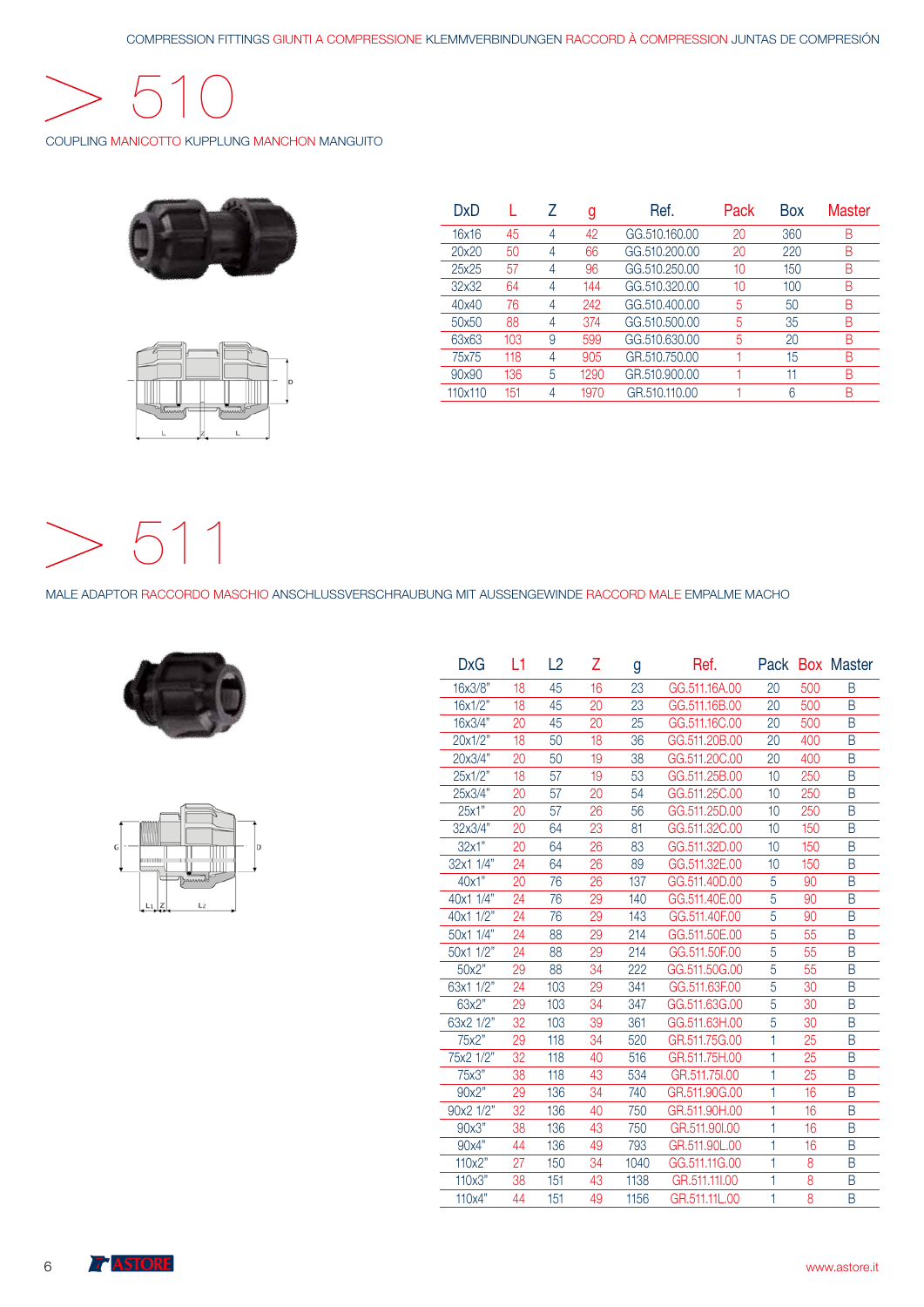

COUPLING MANICOTTO KUPPLUNG MANCHON MANGUITO





| DxD     |     |   | g    | Ref.          | Pack | Box | Master |
|---------|-----|---|------|---------------|------|-----|--------|
| 16x16   | 45  | 4 | 42   | GG.510.160.00 | 20   | 360 | Β      |
| 20x20   | 50  | 4 | 66   | GG.510.200.00 | 20   | 220 | B      |
| 25x25   | 57  | 4 | 96   | GG.510.250.00 | 10   | 150 | Β      |
| 32x32   | 64  | 4 | 144  | GG.510.320.00 | 10   | 100 | Β      |
| 40x40   | 76  | 4 | 242  | GG.510.400.00 | 5    | 50  | B      |
| 50x50   | 88  | 4 | 374  | GG.510.500.00 | 5    | 35  | Β      |
| 63x63   | 103 | 9 | 599  | GG.510.630.00 | 5    | 20  | B      |
| 75x75   | 118 | 4 | 905  | GR.510.750.00 |      | 15  | Β      |
| 90x90   | 136 | 5 | 1290 | GR.510.900.00 |      | 11  | R      |
| 110x110 | 151 |   | 1970 | GR.510.110.00 |      | 6   | Β      |

511  $>$ 

MALE ADAPTOR RACCORDO MASCHIO ANSCHLUSSVERSCHRAUBUNG MIT AUSSENGEWINDE RACCORD MALE EMPALME MACHO





| <b>DxG</b> | L1 | L <sub>2</sub> | Ζ  | g    | Ref.          |    |     | Pack Box Master |
|------------|----|----------------|----|------|---------------|----|-----|-----------------|
| 16x3/8"    | 18 | 45             | 16 | 23   | GG.511.16A.00 | 20 | 500 | Β               |
| 16x1/2"    | 18 | 45             | 20 | 23   | GG.511.16B.00 | 20 | 500 | B               |
| 16x3/4"    | 20 | 45             | 20 | 25   | GG.511.16C.00 | 20 | 500 | B               |
| 20x1/2"    | 18 | 50             | 18 | 36   | GG.511.20B.00 | 20 | 400 | B               |
| 20x3/4"    | 20 | 50             | 19 | 38   | GG.511.20C.00 | 20 | 400 | B               |
| 25x1/2"    | 18 | 57             | 19 | 53   | GG.511.25B.00 | 10 | 250 | B               |
| 25x3/4"    | 20 | 57             | 20 | 54   | GG.511.25C.00 | 10 | 250 | B               |
| 25x1"      | 20 | 57             | 26 | 56   | GG.511.25D.00 | 10 | 250 | B               |
| 32x3/4"    | 20 | 64             | 23 | 81   | GG.511.32C.00 | 10 | 150 | B               |
| 32x1"      | 20 | 64             | 26 | 83   | GG.511.32D.00 | 10 | 150 | B               |
| 32x1 1/4"  | 24 | 64             | 26 | 89   | GG.511.32E.00 | 10 | 150 | B               |
| 40x1"      | 20 | 76             | 26 | 137  | GG.511.40D.00 | 5  | 90  | B               |
| 40x1 1/4"  | 24 | 76             | 29 | 140  | GG.511.40E.00 | 5  | 90  | B               |
| 40x1 1/2"  | 24 | 76             | 29 | 143  | GG.511.40F.00 | 5  | 90  | B               |
| 50x1 1/4"  | 24 | 88             | 29 | 214  | GG.511.50E.00 | 5  | 55  | B               |
| 50x1 1/2"  | 24 | 88             | 29 | 214  | GG.511.50F.00 | 5  | 55  | B               |
| 50x2"      | 29 | 88             | 34 | 222  | GG.511.50G.00 | 5  | 55  | B               |
| 63x1 1/2"  | 24 | 103            | 29 | 341  | GG.511.63F.00 | 5  | 30  | B               |
| 63x2"      | 29 | 103            | 34 | 347  | GG.511.63G.00 | 5  | 30  | B               |
| 63x2 1/2"  | 32 | 103            | 39 | 361  | GG.511.63H.00 | 5  | 30  | B               |
| 75x2"      | 29 | 118            | 34 | 520  | GR.511.75G.00 | 1  | 25  | B               |
| 75x2 1/2"  | 32 | 118            | 40 | 516  | GR.511.75H.00 | 1  | 25  | B               |
| 75x3"      | 38 | 118            | 43 | 534  | GR.511.75I.00 | 1  | 25  | B               |
| 90x2"      | 29 | 136            | 34 | 740  | GR.511.90G.00 | 1  | 16  | B               |
| 90x2 1/2"  | 32 | 136            | 40 | 750  | GR.511.90H.00 | 1  | 16  | B               |
| 90x3"      | 38 | 136            | 43 | 750  | GR.511.90I.00 | 1  | 16  | B               |
| 90x4"      | 44 | 136            | 49 | 793  | GR.511.90L.00 | 1  | 16  | B               |
| 110x2"     | 27 | 150            | 34 | 1040 | GG.511.11G.00 | 1  | 8   | B               |
| 110x3"     | 38 | 151            | 43 | 1138 | GR.511.11I.00 | 1  | 8   | B               |
| 110x4"     | 44 | 151            | 49 | 1156 | GR.511.11L.00 | 1  | 8   | B               |
|            |    |                |    |      |               |    |     |                 |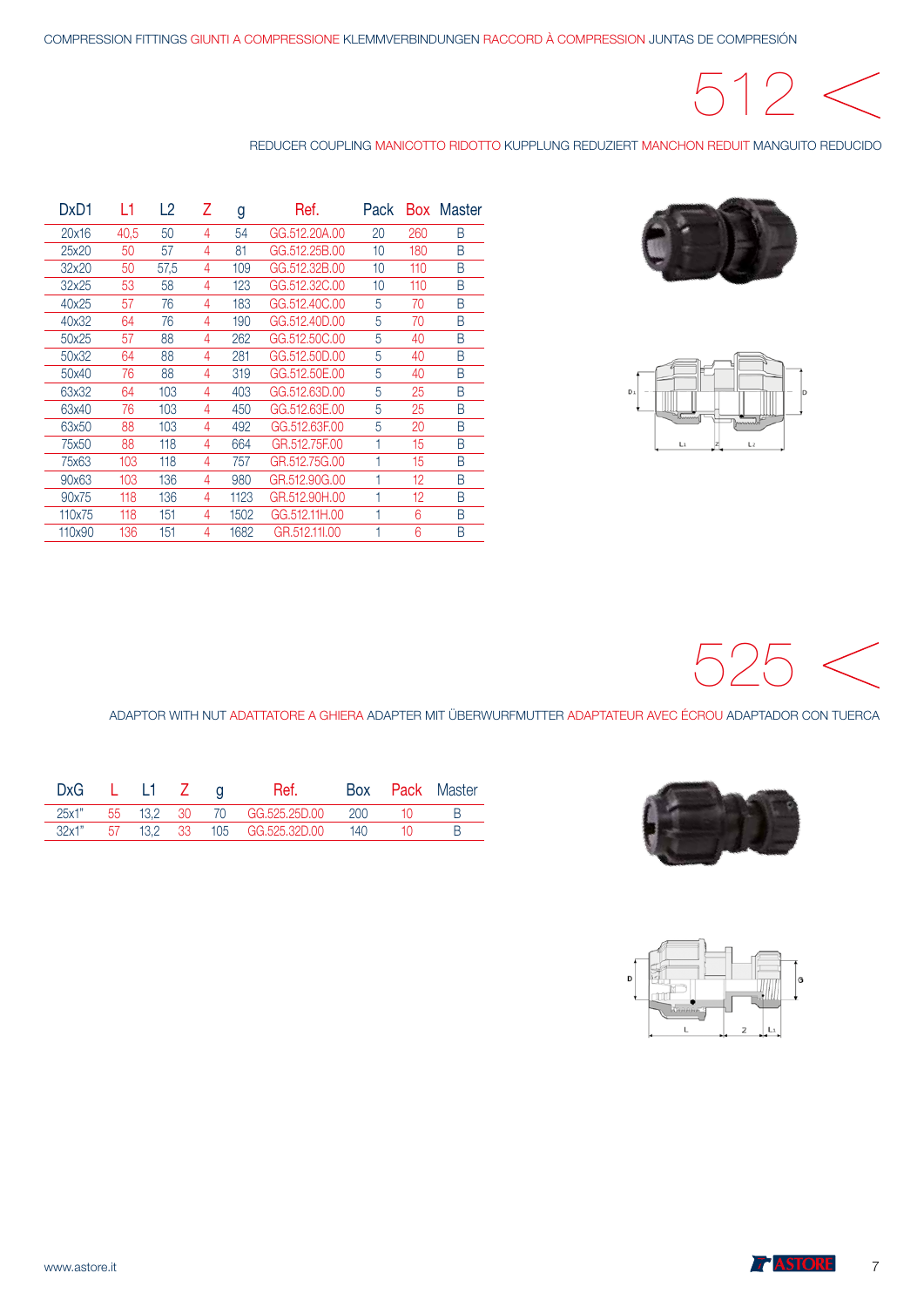# $512 <$

REDUCER COUPLING MANICOTTO RIDOTTO KUPPLUNG REDUZIERT MANCHON REDUIT MANGUITO REDUCIDO





| DxD1   | L1   | -2   | Ζ | g    | Ref.          | Pack | Box | Master |
|--------|------|------|---|------|---------------|------|-----|--------|
| 20x16  | 40,5 | 50   | 4 | 54   | GG.512.20A.00 | 20   | 260 | B      |
| 25x20  | 50   | 57   | 4 | 81   | GG.512.25B.00 | 10   | 180 | B      |
| 32x20  | 50   | 57,5 | 4 | 109  | GG.512.32B.00 | 10   | 110 | B      |
| 32x25  | 53   | 58   | 4 | 123  | GG.512.32C.00 | 10   | 110 | B      |
| 40x25  | 57   | 76   | 4 | 183  | GG.512,40C.00 | 5    | 70  | B      |
| 40x32  | 64   | 76   | 4 | 190  | GG.512.40D.00 | 5    | 70  | B      |
| 50x25  | 57   | 88   | 4 | 262  | GG.512,50C.00 | 5    | 40  | B      |
| 50x32  | 64   | 88   | 4 | 281  | GG.512.50D.00 | 5    | 40  | B      |
| 50x40  | 76   | 88   | 4 | 319  | GG.512.50E.00 | 5    | 40  | B      |
| 63x32  | 64   | 103  | 4 | 403  | GG.512.63D.00 | 5    | 25  | B      |
| 63x40  | 76   | 103  | 4 | 450  | GG.512.63E.00 | 5    | 25  | B      |
| 63x50  | 88   | 103  | 4 | 492  | GG.512.63F.00 | 5    | 20  | B      |
| 75x50  | 88   | 118  | 4 | 664  | GR.512.75F.00 |      | 15  | B      |
| 75x63  | 103  | 118  | 4 | 757  | GR.512.75G.00 |      | 15  | B      |
| 90x63  | 103  | 136  | 4 | 980  | GR.512,90G.00 |      | 12  | B      |
| 90x75  | 118  | 136  | 4 | 1123 | GR.512,90H.00 |      | 12  | B      |
| 110x75 | 118  | 151  | 4 | 1502 | GG.512.11H.00 |      | 6   | B      |
| 110x90 | 136  | 151  | 4 | 1682 | GR.512.11I.00 |      | 6   | B      |



ADAPTOR WITH NUT ADATTATORE A GHIERA ADAPTER MIT ÜBERWURFMUTTER ADAPTATEUR AVEC ÉCROU ADAPTADOR CON TUERCA



| D |  |  | G |
|---|--|--|---|
|   |  |  |   |

| DxG   | $\blacksquare$ |  | Ref.                             | Box | <b>Pack</b> Master |
|-------|----------------|--|----------------------------------|-----|--------------------|
| 25x1" |                |  | 55 13.2 30 70 GG.525.25D.00      | 200 |                    |
| 32x1" |                |  | 57  13,2  33  105  GG.525.32D.00 | 140 |                    |
|       |                |  |                                  |     |                    |

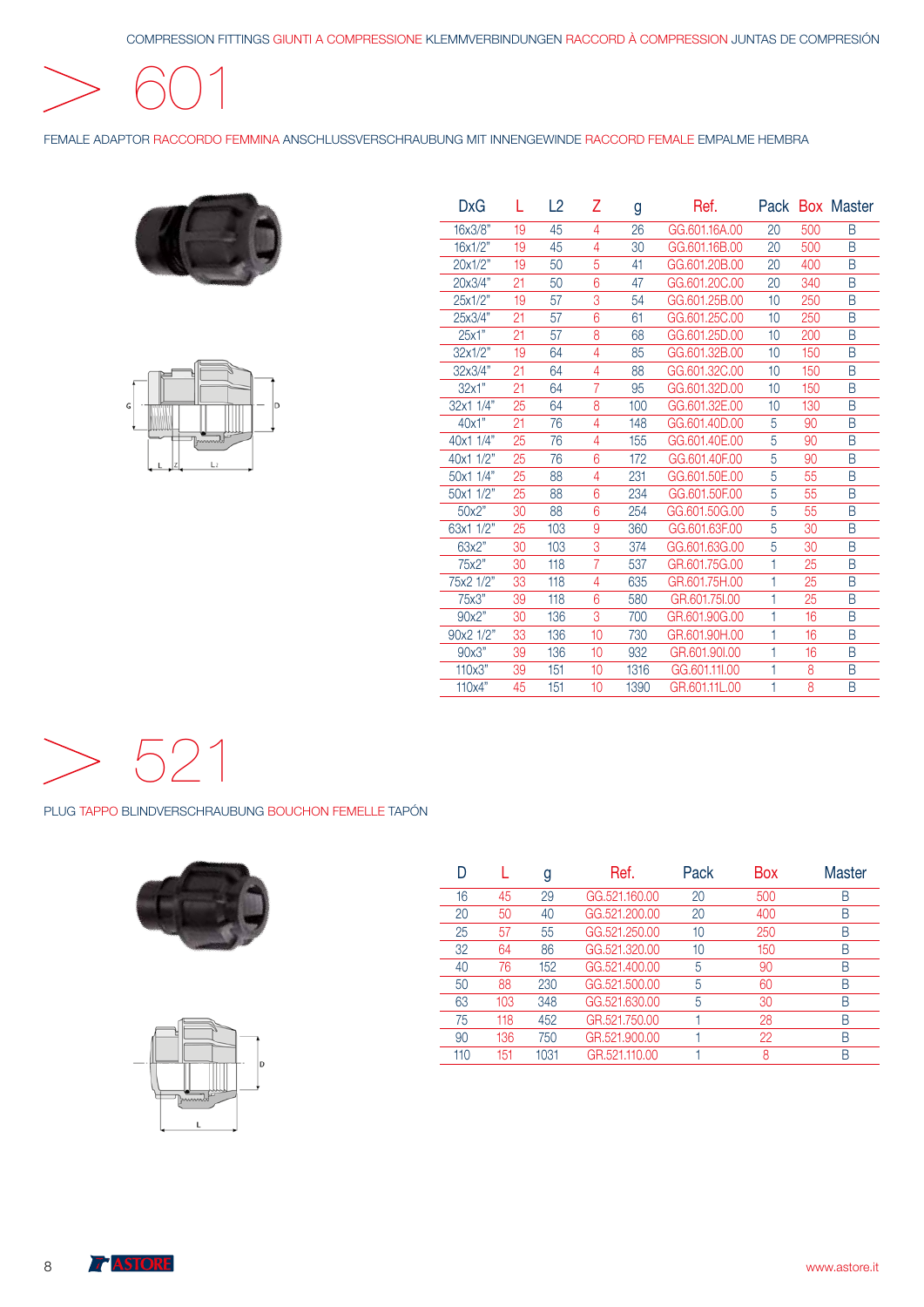601

FEMALE ADAPTOR RACCORDO FEMMINA ANSCHLUSSVERSCHRAUBUNG MIT INNENGEWINDE RACCORD FEMALE EMPALME HEMBRA





| DxG       | L  | L2  | Ζ              | Ref.<br>g |               |    |     | Pack Box Master |
|-----------|----|-----|----------------|-----------|---------------|----|-----|-----------------|
| 16x3/8"   | 19 | 45  | 4              | 26        | GG.601.16A.00 | 20 | 500 | B               |
| 16x1/2"   | 19 | 45  | 4              | 30        | GG.601.16B.00 | 20 | 500 | B               |
| 20x1/2"   | 19 | 50  | 5              | 41        | GG.601.20B.00 | 20 | 400 | B               |
| 20x3/4"   | 21 | 50  | 6              | 47        | GG.601.20C.00 | 20 | 340 | B               |
| 25x1/2"   | 19 | 57  | 3              | 54        | GG.601.25B.00 | 10 | 250 | B               |
| 25x3/4"   | 21 | 57  | 6              | 61        | GG.601.25C.00 | 10 | 250 | B               |
| 25x1"     | 21 | 57  | 8              | 68        | GG.601.25D.00 | 10 | 200 | B               |
| 32x1/2"   | 19 | 64  | 4              | 85        | GG.601.32B.00 | 10 | 150 | B               |
| 32x3/4"   | 21 | 64  | 4              | 88        | GG.601.32C.00 | 10 | 150 | B               |
| 32x1"     | 21 | 64  | 7              | 95        | GG.601.32D.00 | 10 | 150 | B               |
| 32x1 1/4" | 25 | 64  | 8              | 100       | GG.601.32E.00 | 10 | 130 | B               |
| 40x1"     | 21 | 76  | 4              | 148       | GG.601.40D.00 | 5  | 90  | B               |
| 40x1 1/4" | 25 | 76  | 4              | 155       | GG.601.40E.00 | 5  | 90  | B               |
| 40x1 1/2" | 25 | 76  | 6              | 172       | GG.601.40F.00 | 5  | 90  | B               |
| 50x1 1/4" | 25 | 88  | 4              | 231       | GG.601.50E.00 | 5  | 55  | B               |
| 50x1 1/2" | 25 | 88  | 6              | 234       | GG.601.50F.00 | 5  | 55  | B               |
| 50x2"     | 30 | 88  | 6              | 254       | GG.601.50G.00 | 5  | 55  | B               |
| 63x1 1/2" | 25 | 103 | 9              | 360       | GG.601.63F.00 | 5  | 30  | B               |
| 63x2"     | 30 | 103 | 3              | 374       | GG.601.63G.00 | 5  | 30  | B               |
| 75x2"     | 30 | 118 | $\overline{7}$ | 537       | GR.601.75G.00 | 1  | 25  | B               |
| 75x2 1/2" | 33 | 118 | 4              | 635       | GR.601.75H.00 | 1  | 25  | B               |
| 75x3"     | 39 | 118 | 6              | 580       | GR.601.75I.00 | 1  | 25  | B               |
| 90x2"     | 30 | 136 | 3              | 700       | GR.601.90G.00 | 1  | 16  | B               |
| 90x2 1/2" | 33 | 136 | 10             | 730       | GR.601.90H.00 | 1  | 16  | B               |
| 90x3"     | 39 | 136 | 10             | 932       | GR.601.90I.00 | 1  | 16  | B               |
| 110x3"    | 39 | 151 | 10             | 1316      | GG.601.11I.00 | 1  | 8   | B               |
| 110x4"    | 45 | 151 | 10             | 1390      | GR.601.11L.00 | 1  | 8   | B               |



PLUG TAPPO BLINDVERSCHRAUBUNG BOUCHON FEMELLE TAPÓN





|     |     | g    | Ref.          | Pack | Box | Master |
|-----|-----|------|---------------|------|-----|--------|
| 16  | 45  | 29   | GG.521,160.00 | 20   | 500 | Β      |
| 20  | 50  | 40   | GG.521.200.00 | 20   | 400 | B      |
| 25  | 57  | 55   | GG.521.250.00 | 10   | 250 | Β      |
| 32  | 64  | 86   | GG.521.320.00 | 10   | 150 | Β      |
| 40  | 76  | 152  | GG.521.400.00 | 5    | 90  | B      |
| 50  | 88  | 230  | GG.521.500.00 | 5    | 60  | B      |
| 63  | 103 | 348  | GG.521.630.00 | 5    | 30  | Β      |
| 75  | 118 | 452  | GR.521.750.00 |      | 28  | B      |
| 90  | 136 | 750  | GR.521.900.00 |      | 22  | B      |
| 110 | 151 | 1031 | GR.521.110.00 |      | 8   | R      |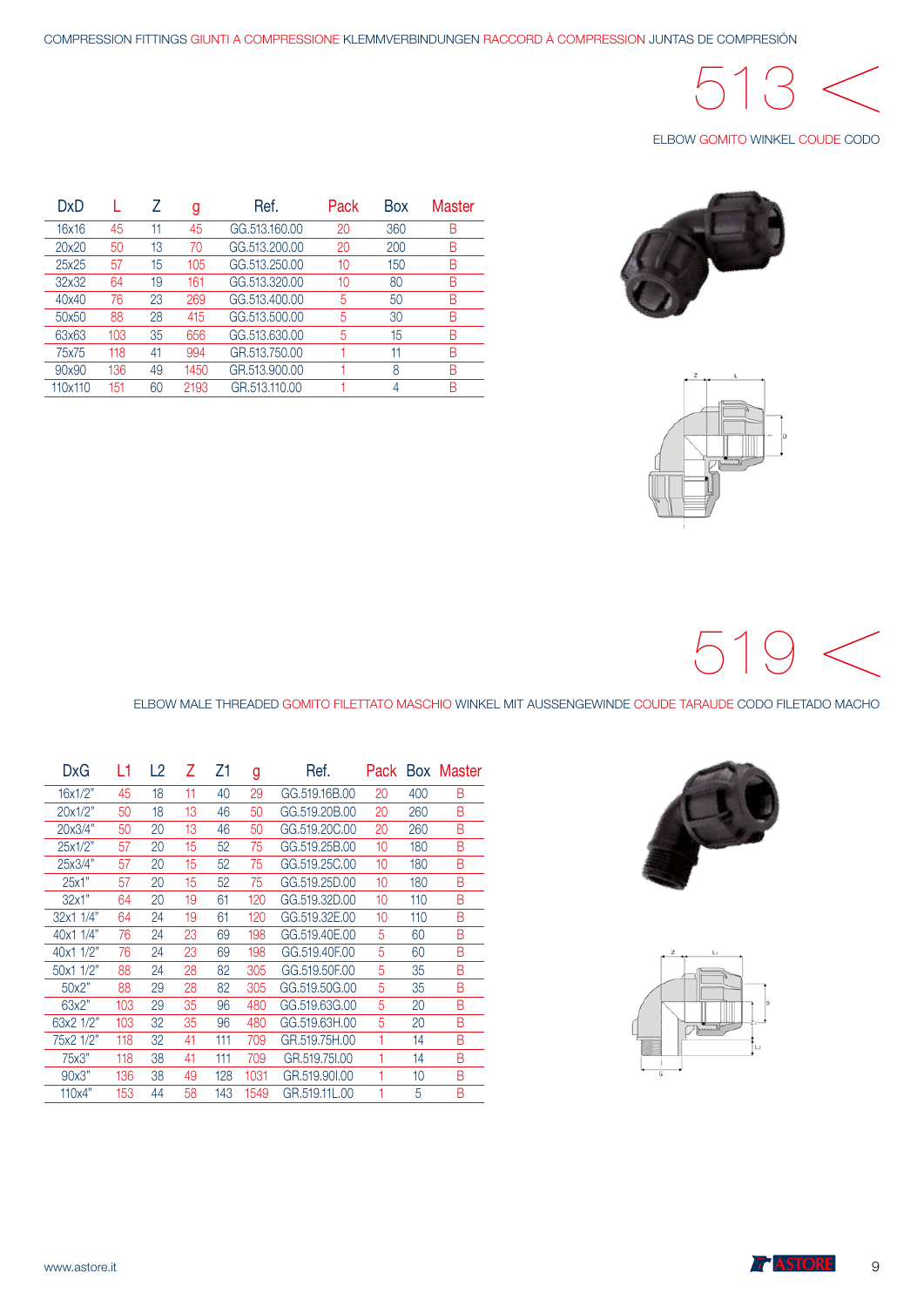# 513

#### ELBOW GOMITO WINKEL COUDE CODO



| z<br>ι |   |
|--------|---|
|        |   |
|        | D |
|        |   |
|        |   |
|        |   |

| DxD     |     |    | g    | Ref.          | Pack | <b>Box</b> | Master |
|---------|-----|----|------|---------------|------|------------|--------|
| 16x16   | 45  | 11 | 45   | GG.513.160.00 | 20   | 360        | В      |
| 20x20   | 50  | 13 | 70   | GG.513,200.00 | 20   | 200        | В      |
| 25x25   | 57  | 15 | 105  | GG.513.250.00 | 10   | 150        | В      |
| 32x32   | 64  | 19 | 161  | GG.513.320.00 | 10   | 80         | Β      |
| 40x40   | 76  | 23 | 269  | GG.513.400.00 | 5    | 50         | B      |
| 50x50   | 88  | 28 | 415  | GG.513.500.00 | 5    | 30         | В      |
| 63x63   | 103 | 35 | 656  | GG.513.630.00 | 5    | 15         | B      |
| 75x75   | 118 | 41 | 994  | GR.513.750.00 |      | 11         | В      |
| 90x90   | 136 | 49 | 1450 | GR.513,900.00 |      | 8          | В      |
| 110x110 | 151 | 60 | 2193 | GR.513.110.00 |      | 4          | R      |



ELBOW MALE THREADED GOMITO FILETTATO MASCHIO WINKEL MIT AUSSENGEWINDE COUDE TARAUDE CODO FILETADO MACHO

| DxG       | L1  | L2 | 7  | Ζ1  | g    | Ret.          |    |     | Pack Box Master |
|-----------|-----|----|----|-----|------|---------------|----|-----|-----------------|
| 16x1/2"   | 45  | 18 | 11 | 40  | 29   | GG.519.16B.00 | 20 | 400 | B               |
| 20x1/2"   | 50  | 18 | 13 | 46  | 50   | GG.519.20B.00 | 20 | 260 | B               |
| 20x3/4"   | 50  | 20 | 13 | 46  | 50   | GG.519.20C.00 | 20 | 260 | B               |
| 25x1/2"   | 57  | 20 | 15 | 52  | 75   | GG.519.25B.00 | 10 | 180 | B               |
| 25x3/4"   | 57  | 20 | 15 | 52  | 75   | GG.519.25C.00 | 10 | 180 | B               |
| 25x1"     | 57  | 20 | 15 | 52  | 75   | GG.519.25D.00 | 10 | 180 | B               |
| 32x1"     | 64  | 20 | 19 | 61  | 120  | GG.519.32D.00 | 10 | 110 | B               |
| 32x1 1/4" | 64  | 24 | 19 | 61  | 120  | GG.519.32E.00 | 10 | 110 | B               |
| 40x1 1/4" | 76  | 24 | 23 | 69  | 198  | GG.519.40E.00 | 5  | 60  | B               |
| 40x1 1/2" | 76  | 24 | 23 | 69  | 198  | GG.519.40F.00 | 5  | 60  | B               |
| 50x1 1/2" | 88  | 24 | 28 | 82  | 305  | GG.519.50F.00 | 5  | 35  | B               |
| 50x2"     | 88  | 29 | 28 | 82  | 305  | GG.519.50G.00 | 5  | 35  | B               |
| 63x2"     | 103 | 29 | 35 | 96  | 480  | GG.519.63G.00 | 5  | 20  | B               |
| 63x2 1/2" | 103 | 32 | 35 | 96  | 480  | GG.519.63H.00 | 5  | 20  | B               |
| 75x2 1/2" | 118 | 32 | 41 | 111 | 709  | GR.519.75H.00 | 1  | 14  | B               |
| 75x3"     | 118 | 38 | 41 | 111 | 709  | GR.519.751.00 |    | 14  | B               |
| 90x3"     | 136 | 38 | 49 | 128 | 1031 | GR.519.90I.00 | 1  | 10  | B               |
| 110x4"    | 153 | 44 | 58 | 143 | 1549 | GR.519.11L.00 |    | 5   | B               |





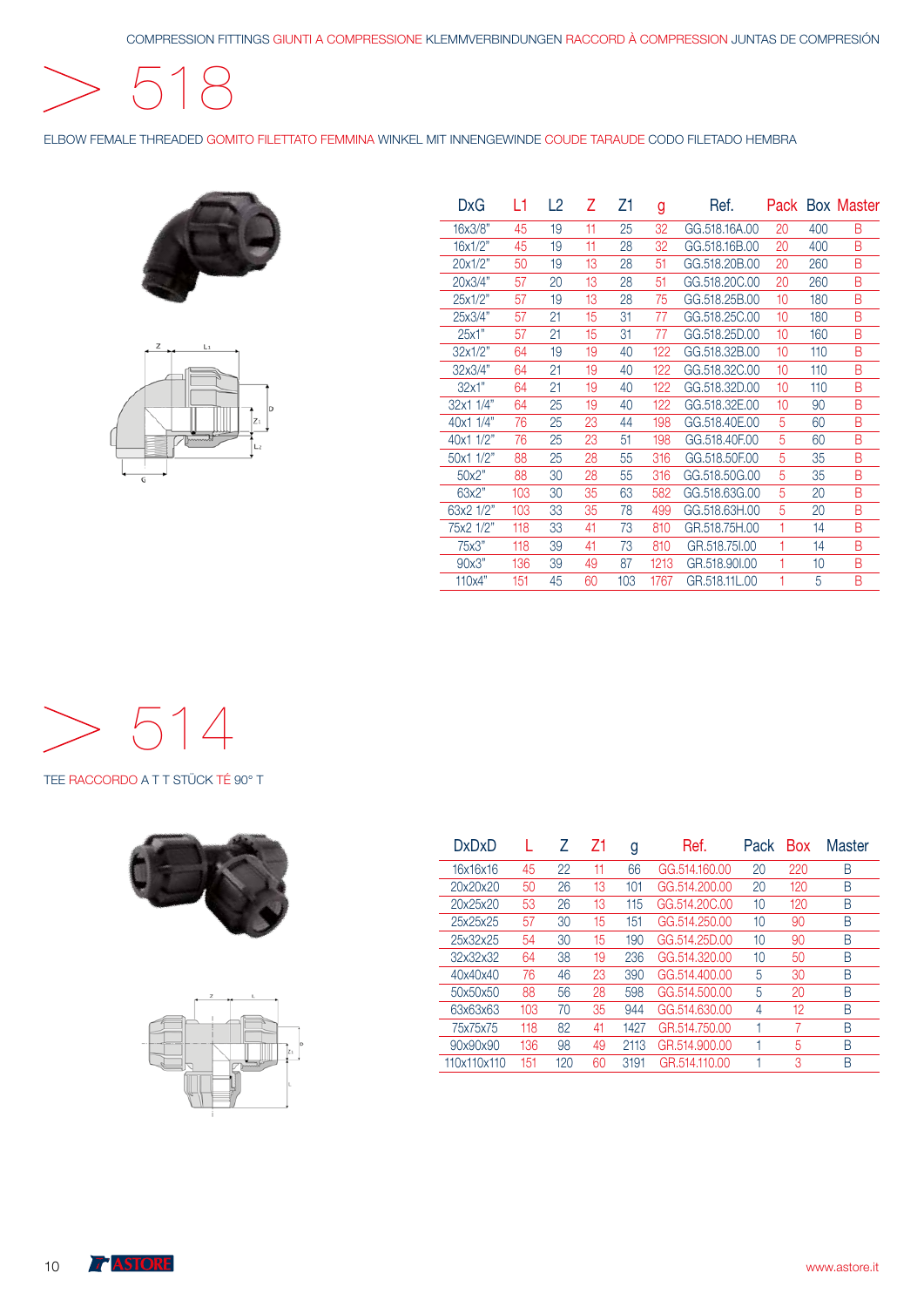518

ELBOW FEMALE THREADED GOMITO FILETTATO FEMMINA WINKEL MIT INNENGEWINDE COUDE TARAUDE CODO FILETADO HEMBRA





| DxG       | L1  | L2 | Ζ  | Ζ1  | g    | Ref.          |    |     | Pack Box Master |
|-----------|-----|----|----|-----|------|---------------|----|-----|-----------------|
| 16x3/8"   | 45  | 19 | 11 | 25  | 32   | GG.518.16A.00 | 20 | 400 | B               |
| 16x1/2"   | 45  | 19 | 11 | 28  | 32   | GG.518.16B.00 | 20 | 400 | B               |
| 20x1/2"   | 50  | 19 | 13 | 28  | 51   | GG.518.20B.00 | 20 | 260 | B               |
| 20x3/4"   | 57  | 20 | 13 | 28  | 51   | GG.518.20C.00 | 20 | 260 | B               |
| 25x1/2"   | 57  | 19 | 13 | 28  | 75   | GG.518.25B.00 | 10 | 180 | B               |
| 25x3/4"   | 57  | 21 | 15 | 31  | 77   | GG.518.25C.00 | 10 | 180 | B               |
| 25x1"     | 57  | 21 | 15 | 31  | 77   | GG.518.25D.00 | 10 | 160 | B               |
| 32x1/2"   | 64  | 19 | 19 | 40  | 122  | GG.518.32B.00 | 10 | 110 | B               |
| 32x3/4"   | 64  | 21 | 19 | 40  | 122  | GG.518.32C.00 | 10 | 110 | B               |
| 32x1"     | 64  | 21 | 19 | 40  | 122  | GG.518.32D.00 | 10 | 110 | B               |
| 32x1 1/4" | 64  | 25 | 19 | 40  | 122  | GG.518.32E.00 | 10 | 90  | B               |
| 40x1 1/4" | 76  | 25 | 23 | 44  | 198  | GG.518.40E.00 | 5  | 60  | B               |
| 40x1 1/2" | 76  | 25 | 23 | 51  | 198  | GG.518.40F.00 | 5  | 60  | B               |
| 50x1 1/2" | 88  | 25 | 28 | 55  | 316  | GG.518.50F.00 | 5  | 35  | B               |
| 50x2"     | 88  | 30 | 28 | 55  | 316  | GG.518.50G.00 | 5  | 35  | B               |
| 63x2"     | 103 | 30 | 35 | 63  | 582  | GG.518.63G.00 | 5  | 20  | B               |
| 63x2 1/2" | 103 | 33 | 35 | 78  | 499  | GG.518.63H.00 | 5  | 20  | B               |
| 75x2 1/2" | 118 | 33 | 41 | 73  | 810  | GR.518.75H.00 | 1  | 14  | B               |
| 75x3"     | 118 | 39 | 41 | 73  | 810  | GR.518.75I.00 | 1  | 14  | B               |
| 90x3"     | 136 | 39 | 49 | 87  | 1213 | GR.518,90I.00 | 1  | 10  | B               |
| 110x4"    | 151 | 45 | 60 | 103 | 1767 | GR.518.11L.00 | 1  | 5   | B               |
|           |     |    |    |     |      |               |    |     |                 |

 $> 514$ 

TEE RACCORDO A T T STÜCK TÉ 90° T





| <b>DxDxD</b> |     | 7   | 71 | g    | Ref.          | Pack | <b>Box</b> | Master |
|--------------|-----|-----|----|------|---------------|------|------------|--------|
| 16x16x16     | 45  | 22  | 11 | 66   | GG.514.160.00 | 20   | 220        | В      |
| 20x20x20     | 50  | 26  | 13 | 101  | GG.514,200.00 | 20   | 120        | В      |
| 20x25x20     | 53  | 26  | 13 | 115  | GG.514.20C.00 | 10   | 120        | В      |
| 25x25x25     | 57  | 30  | 15 | 151  | GG.514.250.00 | 10   | 90         | В      |
| 25x32x25     | 54  | 30  | 15 | 190  | GG.514.25D.00 | 10   | 90         | В      |
| 32x32x32     | 64  | 38  | 19 | 236  | GG.514.320.00 | 10   | 50         | R      |
| 40x40x40     | 76  | 46  | 23 | 390  | GG.514.400.00 | 5    | 30         | В      |
| 50x50x50     | 88  | 56  | 28 | 598  | GG.514,500.00 | 5    | 20         | В      |
| 63x63x63     | 103 | 70  | 35 | 944  | GG.514.630.00 | 4    | 12         | B      |
| 75x75x75     | 118 | 82  | 41 | 1427 | GR.514.750.00 | 1    | 7          | B      |
| 90x90x90     | 136 | 98  | 49 | 2113 | GR.514.900.00 |      | 5          | В      |
| 110x110x110  | 151 | 120 | 60 | 3191 | GR.514.110.00 |      | 3          | B      |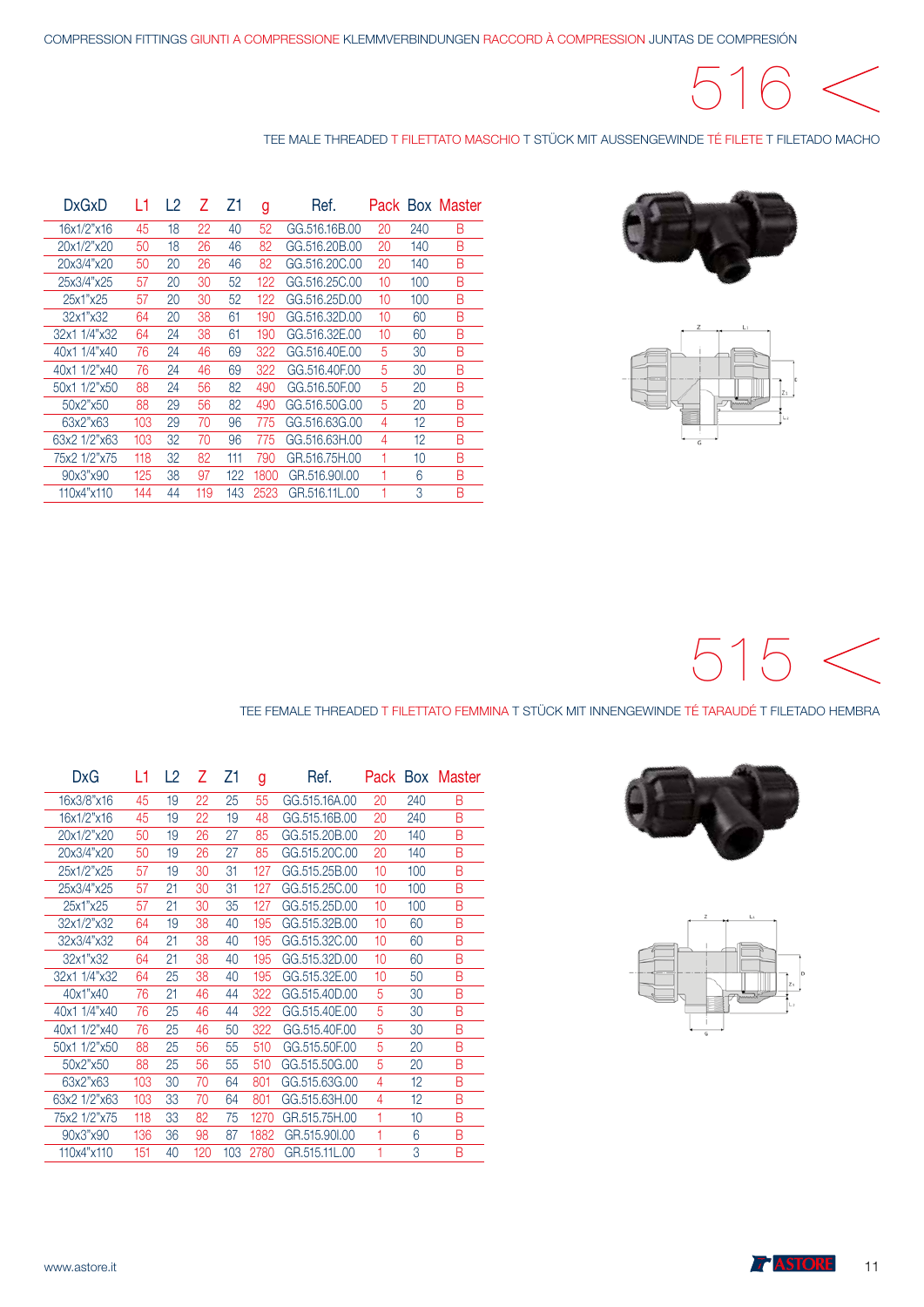# $\bigcap$

#### TEE MALE THREADED T FILETTATO MASCHIO T STÜCK MIT AUSSENGEWINDE TÉ FILETE T FILETADO MACHO





| DxGxD        |     | L2 |     | Ζ1  | g    | Ref.          | Pack |     | <b>Box Master</b> |
|--------------|-----|----|-----|-----|------|---------------|------|-----|-------------------|
| 16x1/2"x16   | 45  | 18 | 22  | 40  | 52   | GG.516.16B.00 | 20   | 240 | B                 |
| 20x1/2"x20   | 50  | 18 | 26  | 46  | 82   | GG.516.20B.00 | 20   | 140 | B                 |
| 20x3/4"x20   | 50  | 20 | 26  | 46  | 82   | GG.516,20C.00 | 20   | 140 | B                 |
| 25x3/4"x25   | 57  | 20 | 30  | 52  | 122  | GG.516,25C.00 | 10   | 100 | B                 |
| 25x1"x25     | 57  | 20 | 30  | 52  | 122  | GG.516.25D.00 | 10   | 100 | B                 |
| 32x1"x32     | 64  | 20 | 38  | 61  | 190  | GG.516.32D.00 | 10   | 60  | B                 |
| 32x1 1/4"x32 | 64  | 24 | 38  | 61  | 190  | GG.516.32E.00 | 10   | 60  | B                 |
| 40x1 1/4"x40 | 76  | 24 | 46  | 69  | 322  | GG.516.40E.00 | 5    | 30  | B                 |
| 40x1 1/2"x40 | 76  | 24 | 46  | 69  | 322  | GG.516.40F.00 | 5    | 30  | B                 |
| 50x1 1/2"x50 | 88  | 24 | 56  | 82  | 490  | GG.516.50F.00 | 5    | 20  | B                 |
| 50x2"x50     | 88  | 29 | 56  | 82  | 490  | GG.516.50G.00 | 5    | 20  | B                 |
| 63x2"x63     | 103 | 29 | 70  | 96  | 775  | GG.516.63G.00 | 4    | 12  | B                 |
| 63x2 1/2"x63 | 103 | 32 | 70  | 96  | 775  | GG.516.63H.00 | 4    | 12  | B                 |
| 75x2 1/2"x75 | 118 | 32 | 82  | 111 | 790  | GR.516.75H.00 | 1    | 10  | В                 |
| 90x3"x90     | 125 | 38 | 97  | 122 | 1800 | GR.516,901.00 |      | 6   | B                 |
| 110x4"x110   | 144 | 44 | 119 | 143 | 2523 | GR.516.11L.00 |      | 3   | В                 |

 $515 <$ 

#### TEE FEMALE THREADED T FILETTATO FEMMINA T STÜCK MIT INNENGEWINDE TÉ TARAUDÉ T FILETADO HEMBRA

| DxG          | L1  | L <sub>2</sub> | Ζ   | Ζ1  | g    | Ref.          |    |     | Pack Box Master |
|--------------|-----|----------------|-----|-----|------|---------------|----|-----|-----------------|
| 16x3/8"x16   | 45  | 19             | 22  | 25  | 55   | GG.515.16A.00 | 20 | 240 | В               |
| 16x1/2"x16   | 45  | 19             | 22  | 19  | 48   | GG.515.16B.00 | 20 | 240 | B               |
| 20x1/2"x20   | 50  | 19             | 26  | 27  | 85   | GG.515.20B.00 | 20 | 140 | B               |
| 20x3/4"x20   | 50  | 19             | 26  | 27  | 85   | GG.515.20C.00 | 20 | 140 | B               |
| 25x1/2"x25   | 57  | 19             | 30  | 31  | 127  | GG.515.25B.00 | 10 | 100 | B               |
| 25x3/4"x25   | 57  | 21             | 30  | 31  | 127  | GG.515,25C.00 | 10 | 100 | B               |
| 25x1"x25     | 57  | 21             | 30  | 35  | 127  | GG.515.25D.00 | 10 | 100 | B               |
| 32x1/2"x32   | 64  | 19             | 38  | 40  | 195  | GG.515.32B.00 | 10 | 60  | B               |
| 32x3/4"x32   | 64  | 21             | 38  | 40  | 195  | GG.515.32C.00 | 10 | 60  | B               |
| 32x1"x32     | 64  | 21             | 38  | 40  | 195  | GG.515.32D.00 | 10 | 60  | B               |
| 32x1 1/4"x32 | 64  | 25             | 38  | 40  | 195  | GG.515.32E.00 | 10 | 50  | B               |
| 40x1"x40     | 76  | 21             | 46  | 44  | 322  | GG.515,40D.00 | 5  | 30  | B               |
| 40x1 1/4"x40 | 76  | 25             | 46  | 44  | 322  | GG.515.40E.00 | 5  | 30  | B               |
| 40x1 1/2"x40 | 76  | 25             | 46  | 50  | 322  | GG.515.40F.00 | 5  | 30  | B               |
| 50x1 1/2"x50 | 88  | 25             | 56  | 55  | 510  | GG.515.50F.00 | 5  | 20  | B               |
| 50x2"x50     | 88  | 25             | 56  | 55  | 510  | GG.515.50G.00 | 5  | 20  | B               |
| 63x2"x63     | 103 | 30             | 70  | 64  | 801  | GG.515.63G.00 | 4  | 12  | B               |
| 63x2 1/2"x63 | 103 | 33             | 70  | 64  | 801  | GG.515.63H.00 | 4  | 12  | B               |
| 75x2 1/2"x75 | 118 | 33             | 82  | 75  | 1270 | GR.515.75H.00 | 1  | 10  | B               |
| 90x3"x90     | 136 | 36             | 98  | 87  | 1882 | GR.515.90I.00 | 1  | 6   | B               |
| 110x4"x110   | 151 | 40             | 120 | 103 | 2780 | GR.515.11L.00 | 1  | 3   | B               |



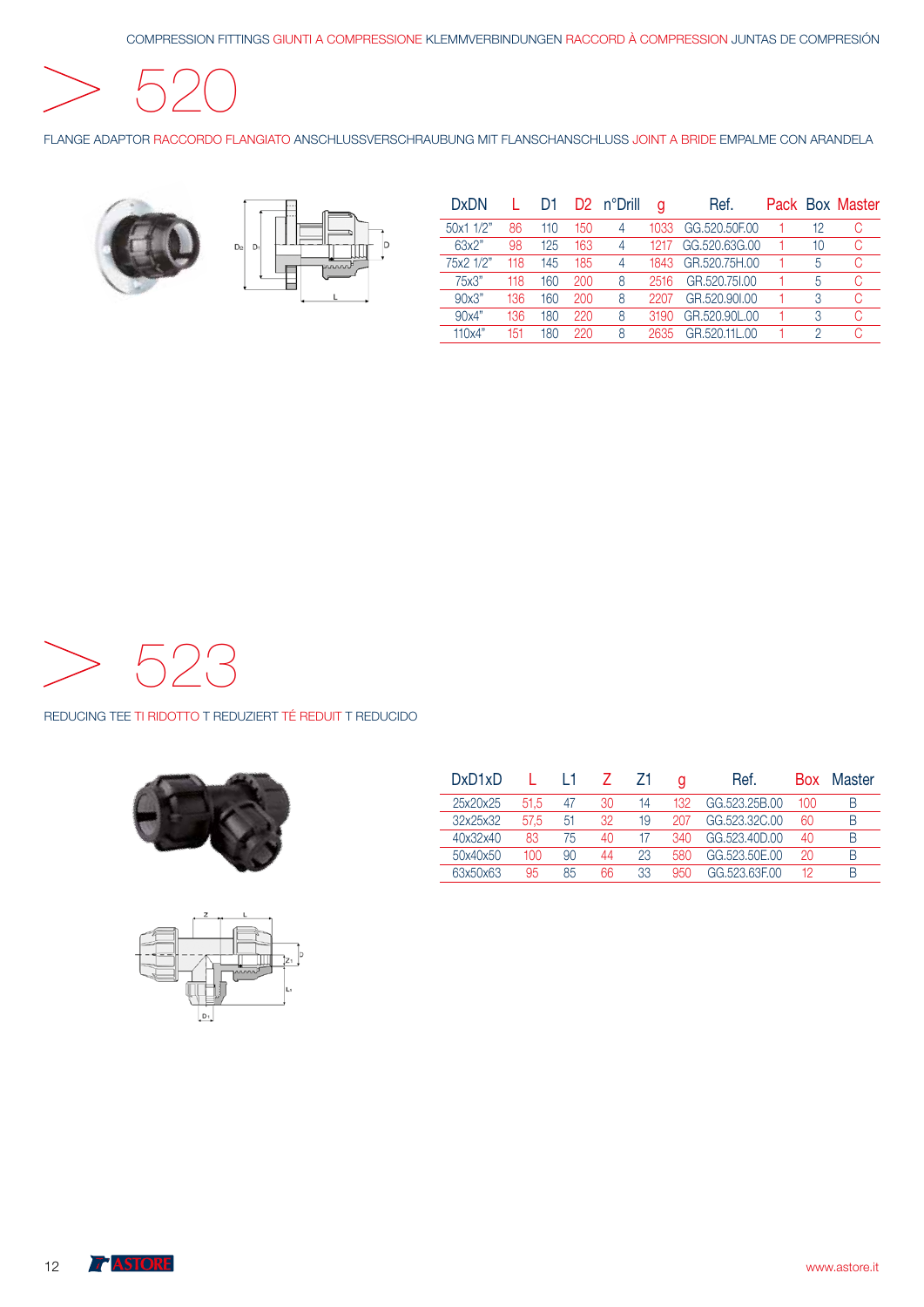COMPRESSION FITTINGS GIUNTI A COMPRESSIONE KLEMMVERBINDUNGEN RACCORD À COMPRESSION JUNTAS DE COMPRESIÓN

520

FLANGE ADAPTOR RACCORDO FLANGIATO ANSCHLUSSVERSCHRAUBUNG MIT FLANSCHANSCHLUSS JOINT A BRIDE EMPALME CON ARANDELA





| <b>DxDN</b> |     | D1  |     | D <sub>2</sub> n°Drill | a     | Ref.          |    | Pack Box Master |
|-------------|-----|-----|-----|------------------------|-------|---------------|----|-----------------|
| 50x1 1/2"   | 86  | 110 | 150 |                        | 1033. | GG.520.50E.00 | 12 |                 |
| 63x2"       | 98  | 125 | 163 | 4                      | 1217  | GG.520.63G.00 | 10 |                 |
| 75x2 1/2"   | 118 | 145 | 185 | 4                      | 1843. | GR.520.75H.00 | 5  |                 |
| 75x3"       | 118 | 160 | 200 | 8                      | 2516  | GR.520.751.00 | 5  |                 |
| 90x3"       | 136 | 160 | 200 | 8                      |       | GR.520,901.00 | 3  |                 |
| 90x4"       | 136 | 180 | 220 | 8                      | 3190  | GR.520.90L.00 | 3  |                 |
| 110x4"      | 151 | 180 | 220 | 8                      | 2635  | GR.520.11L.00 | 2  |                 |



#### REDUCING TEE TI RIDOTTO T REDUZIERT TÉ REDUIT T REDUCIDO





| DxD1xD   |      |    |    |    | α   | Ref.          | <b>Box</b> | Master |
|----------|------|----|----|----|-----|---------------|------------|--------|
| 25x20x25 | 51.5 | 47 | 30 | 14 | 132 | GG.523.25B.00 | 100        | B      |
| 32x25x32 | 57.5 | 51 | 32 | 19 | 207 | GG.523.32C.00 | 60         | В      |
| 40x32x40 | 83   | 75 | 40 |    | 340 | GG.523.40D.00 | 40         | B      |
| 50x40x50 | 100  | 90 | 44 | 23 | 580 | GG.523.50E.00 | 20         | B      |
| 63x50x63 | 95   | 85 | 66 | 33 | 950 | GG 523 63E00  | 12         | B      |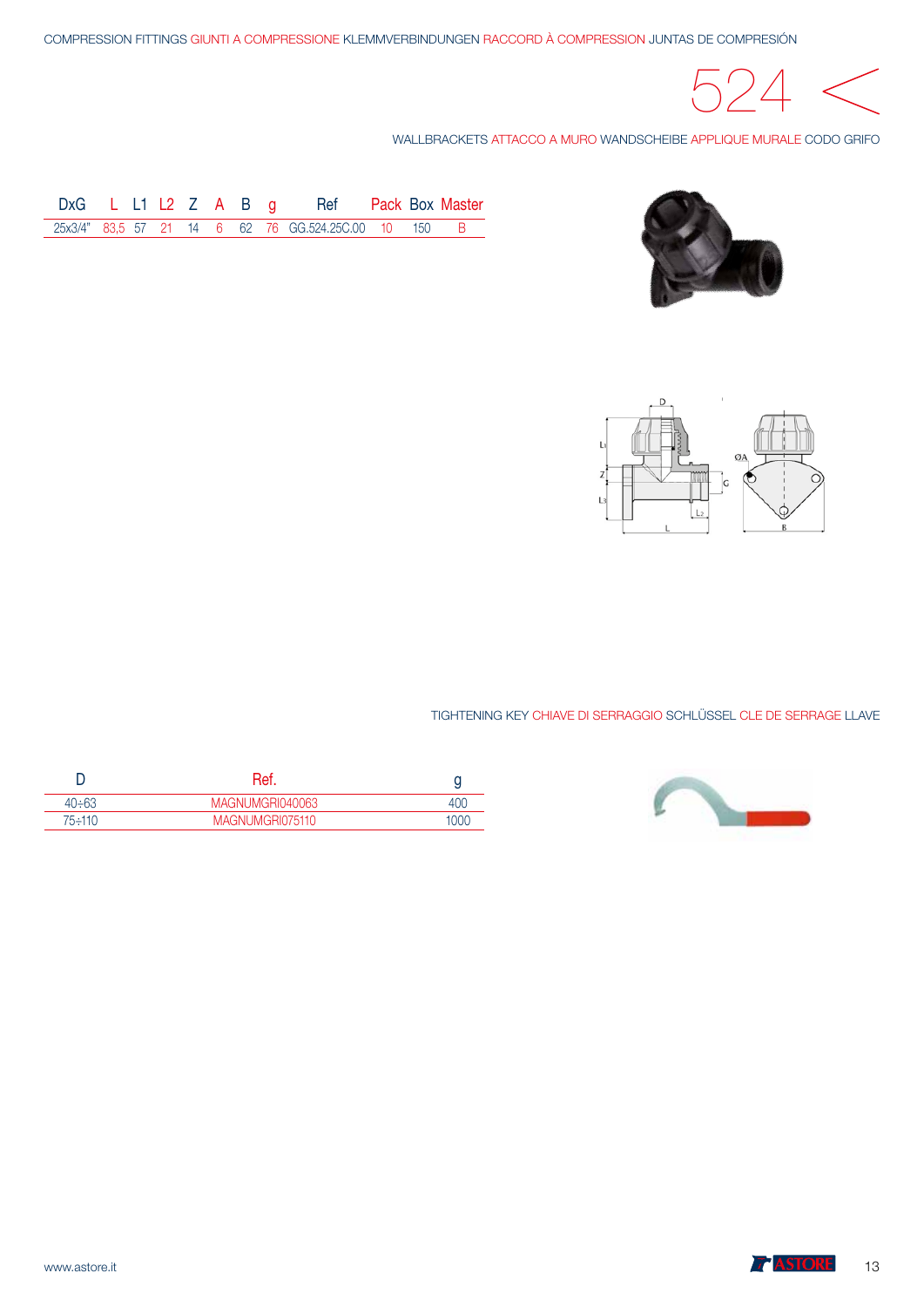

WALLBRACKETS ATTACCO A MURO WANDSCHEIBE APPLIQUE MURALE CODO GRIFO



| DxG $L L1 L2 Z A B q$ |  |  |  | Ref                                                  |  | Pack Box Master |
|-----------------------|--|--|--|------------------------------------------------------|--|-----------------|
|                       |  |  |  | 25x3/4" 83.5 57 21 14 6 62 76 GG.524.25C.00 10 150 B |  |                 |



TIGHTENING KEY CHIAVE DI SERRAGGIO SCHLÜSSEL CLE DE SERRAGE LLAVE



| $40 \div 63$ | MAGNUMGRI040063 |     |
|--------------|-----------------|-----|
| 75∸110       | MAGNUMGRI075110 | 000 |

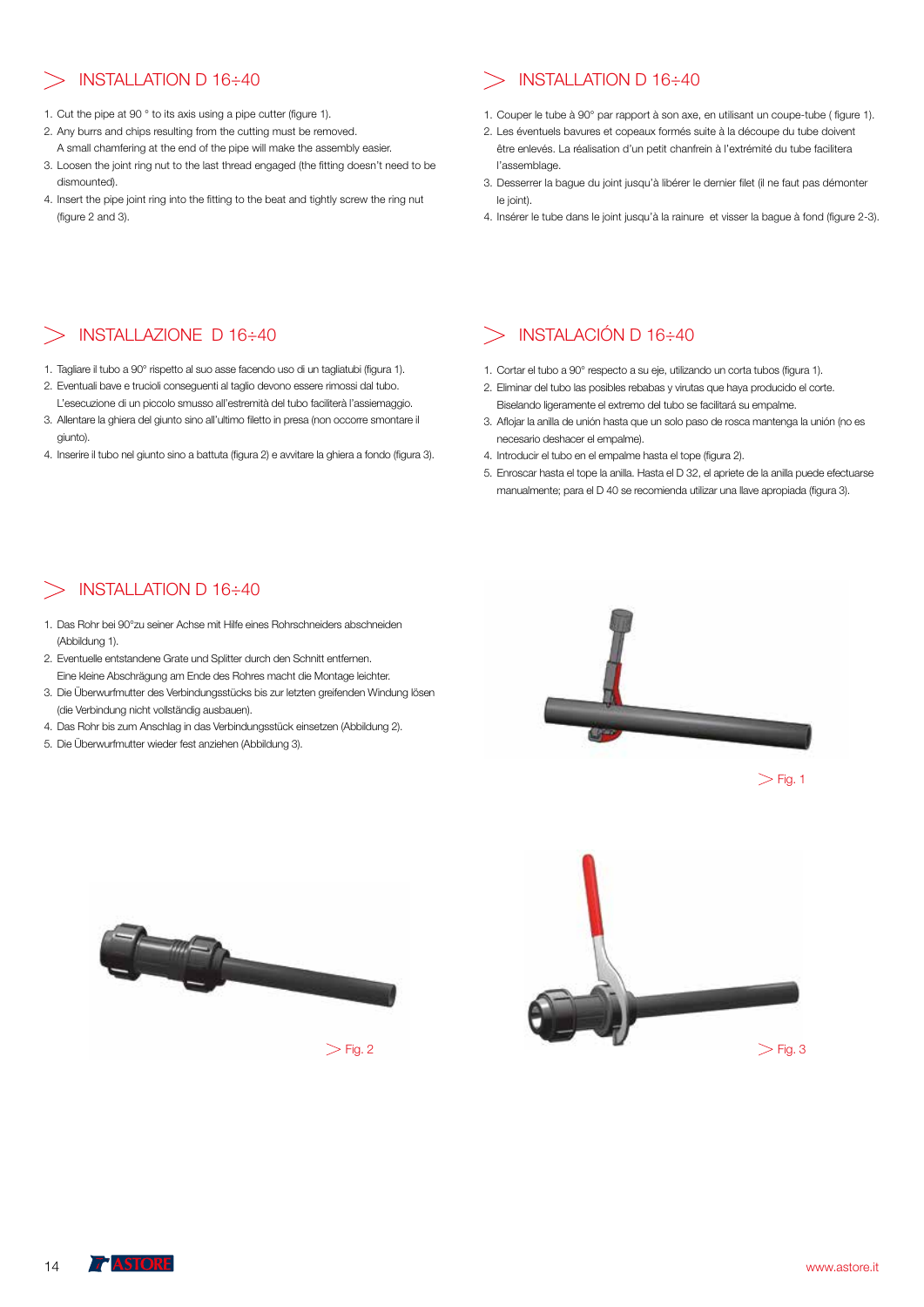- 1. Cut the pipe at 90 ° to its axis using a pipe cutter (figure 1).
- 2. Any burrs and chips resulting from the cutting must be removed. A small chamfering at the end of the pipe will make the assembly easier.
- 3. Loosen the joint ring nut to the last thread engaged (the fitting doesn't need to be dismounted).
- 4. Insert the pipe joint ring into the fitting to the beat and tightly screw the ring nut (figure 2 and 3).

## $\geq$  INSTALLATION D 16÷40  $\geq$  INSTALLATION D 16÷40

- 1. Couper le tube à 90° par rapport à son axe, en utilisant un coupe-tube ( figure 1).
- 2. Les éventuels bavures et copeaux formés suite à la découpe du tube doivent être enlevés. La réalisation d'un petit chanfrein à l'extrémité du tube facilitera l'assemblage.
- 3. Desserrer la bague du joint jusqu'à libérer le dernier filet (il ne faut pas démonter le joint).
- 4. Insérer le tube dans le joint jusqu'à la rainure et visser la bague à fond (figure 2-3).

## INSTALLAZIONE D 16÷40

- 1. Tagliare il tubo a 90° rispetto al suo asse facendo uso di un tagliatubi (figura 1).
- 2. Eventuali bave e trucioli conseguenti al taglio devono essere rimossi dal tubo. L'esecuzione di un piccolo smusso all'estremità del tubo faciliterà l'assiemaggio.
- 3. Allentare la ghiera del giunto sino all'ultimo filetto in presa (non occorre smontare il giunto).
- 4. Inserire il tubo nel giunto sino a battuta (figura 2) e avvitare la ghiera a fondo (figura 3).

### INSTALACIÓN D 16÷40

- 1. Cortar el tubo a 90° respecto a su eje, utilizando un corta tubos (figura 1).
- 2. Eliminar del tubo las posibles rebabas y virutas que haya producido el corte. Biselando ligeramente el extremo del tubo se facilitará su empalme.
- 3. Aflojar la anilla de unión hasta que un solo paso de rosca mantenga la unión (no es necesario deshacer el empalme).
- 4. Introducir el tubo en el empalme hasta el tope (figura 2).
- 5. Enroscar hasta el tope la anilla. Hasta el D 32, el apriete de la anilla puede efectuarse manualmente; para el D 40 se recomienda utilizar una llave apropiada (figura 3).

### INSTALLATION D 16÷40

- 1. Das Rohr bei 90°zu seiner Achse mit Hilfe eines Rohrschneiders abschneiden (Abbildung 1).
- 2. Eventuelle entstandene Grate und Splitter durch den Schnitt entfernen. Eine kleine Abschrägung am Ende des Rohres macht die Montage leichter.
- 3. Die Überwurfmutter des Verbindungsstücks bis zur letzten greifenden Windung lösen (die Verbindung nicht vollständig ausbauen).
- 4. Das Rohr bis zum Anschlag in das Verbindungsstück einsetzen (Abbildung 2).
- 5. Die Überwurfmutter wieder fest anziehen (Abbildung 3).







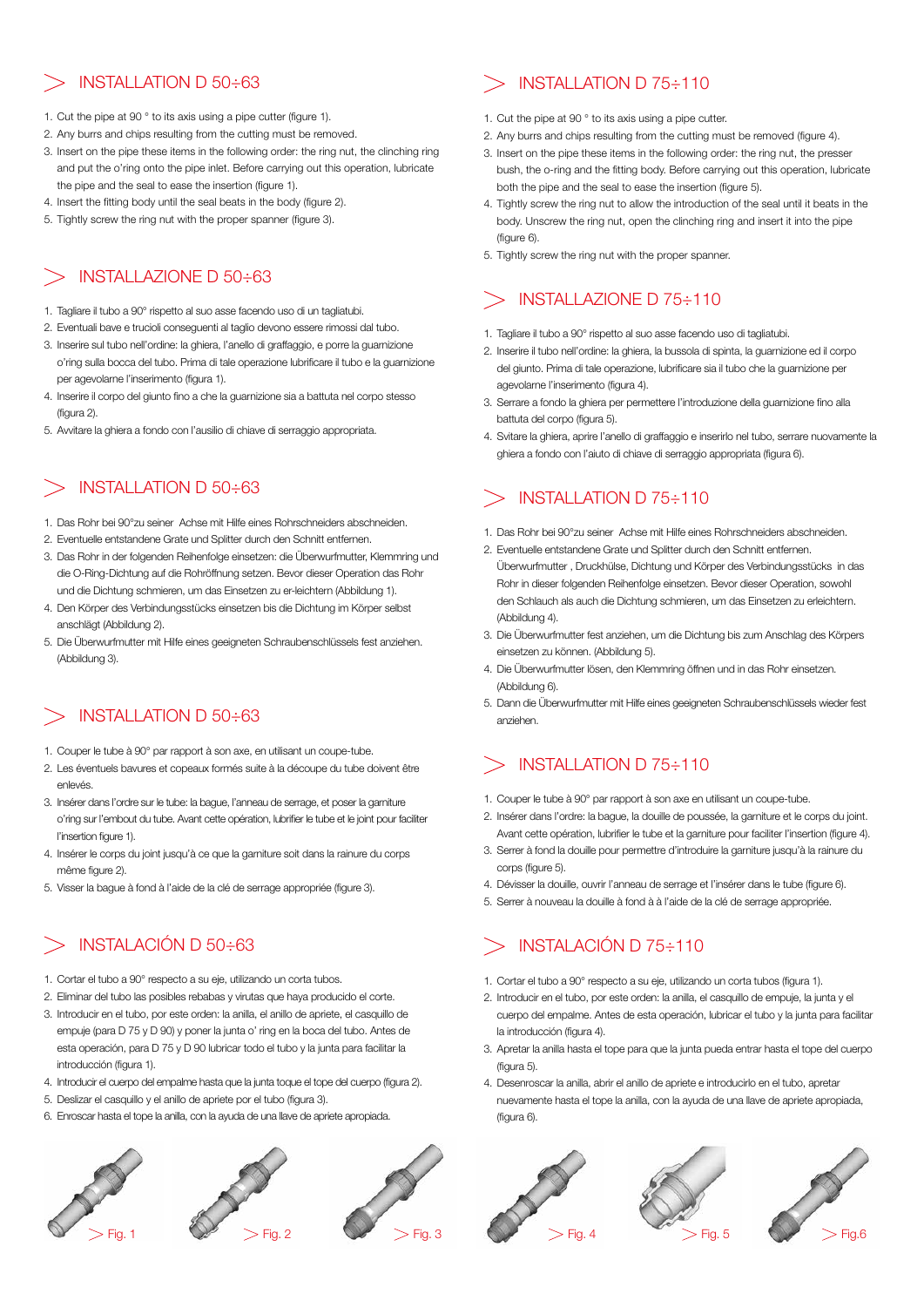## INSTALLATION D 50÷63

- 1. Cut the pipe at 90 ° to its axis using a pipe cutter (figure 1).
- 2. Any burrs and chips resulting from the cutting must be removed.
- 3. Insert on the pipe these items in the following order: the ring nut, the clinching ring and put the o'ring onto the pipe inlet. Before carrying out this operation, lubricate the pipe and the seal to ease the insertion (figure 1).
- 4. Insert the fitting body until the seal beats in the body (figure 2).
- 5. Tightly screw the ring nut with the proper spanner (figure 3).

# > INSTALLAZIONE D 50÷63

- 1. Tagliare il tubo a 90° rispetto al suo asse facendo uso di un tagliatubi.
- 2. Eventuali bave e trucioli conseguenti al taglio devono essere rimossi dal tubo.
- 3. Inserire sul tubo nell'ordine: la ghiera, l'anello di graffaggio, e porre la guarnizione o'ring sulla bocca del tubo. Prima di tale operazione lubrificare il tubo e la guarnizione per agevolarne l'inserimento (figura 1).
- 4. Inserire il corpo del giunto fino a che la guarnizione sia a battuta nel corpo stesso (figura 2).
- 5. Avvitare la ghiera a fondo con l'ausilio di chiave di serraggio appropriata.

# > INSTALLATION D 50÷63

- 1. Das Rohr bei 90°zu seiner Achse mit Hilfe eines Rohrschneiders abschneiden.
- 2. Eventuelle entstandene Grate und Splitter durch den Schnitt entfernen.
- 3. Das Rohr in der folgenden Reihenfolge einsetzen: die Überwurfmutter, Klemmring und die O-Ring-Dichtung auf die Rohröffnung setzen. Bevor dieser Operation das Rohr und die Dichtung schmieren, um das Einsetzen zu er-leichtern (Abbildung 1).
- 4. Den Körper des Verbindungsstücks einsetzen bis die Dichtung im Körper selbst anschlägt (Abbildung 2).
- 5. Die Überwurfmutter mit Hilfe eines geeigneten Schraubenschlüssels fest anziehen. (Abbildung 3).

# INSTALLATION D 50÷63

- 1. Couper le tube à 90° par rapport à son axe, en utilisant un coupe-tube.
- 2. Les éventuels bavures et copeaux formés suite à la découpe du tube doivent être enlevés.
- 3. Insérer dans l'ordre sur le tube: la bague, l'anneau de serrage, et poser la garniture o'ring sur l'embout du tube. Avant cette opération, lubrifier le tube et le joint pour faciliter l'insertion figure 1).
- 4. Insérer le corps du joint jusqu'à ce que la garniture soit dans la rainure du corps même figure 2).
- 5. Visser la bague à fond à l'aide de la clé de serrage appropriée (figure 3).

# INSTALACIÓN D 50÷63

- 1. Cortar el tubo a 90° respecto a su eje, utilizando un corta tubos.
- 2. Eliminar del tubo las posibles rebabas y virutas que haya producido el corte.
- 3. Introducir en el tubo, por este orden: la anilla, el anillo de apriete, el casquillo de empuje (para D 75 y D 90) y poner la junta o' ring en la boca del tubo. Antes de esta operación, para D 75 y D 90 lubricar todo el tubo y la junta para facilitar la introducción (figura 1).
- 4. Introducir el cuerpo del empalme hasta que la junta toque el tope del cuerpo (figura 2).
- 5. Deslizar el casquillo y el anillo de apriete por el tubo (figura 3).
- 6. Enroscar hasta el tope la anilla, con la ayuda de una llave de apriete apropiada.



# INSTALLATION D 75÷110

- 1. Cut the pipe at 90 ° to its axis using a pipe cutter.
- 2. Any burrs and chips resulting from the cutting must be removed (figure 4).
- 3. Insert on the pipe these items in the following order: the ring nut, the presser bush, the o-ring and the fitting body. Before carrying out this operation, lubricate both the pipe and the seal to ease the insertion (figure 5).
- 4. Tightly screw the ring nut to allow the introduction of the seal until it beats in the body. Unscrew the ring nut, open the clinching ring and insert it into the pipe (figure 6).
- 5. Tightly screw the ring nut with the proper spanner.

# INSTALLAZIONE D 75÷110

- 1. Tagliare il tubo a 90° rispetto al suo asse facendo uso di tagliatubi.
- 2. Inserire il tubo nell'ordine: la ghiera, la bussola di spinta, la guarnizione ed il corpo del giunto. Prima di tale operazione, lubrificare sia il tubo che la guarnizione per agevolarne l'inserimento (figura 4).
- 3. Serrare a fondo la ghiera per permettere l'introduzione della guarnizione fino alla battuta del corpo (figura 5).
- 4. Svitare la ghiera, aprire l'anello di graffaggio e inserirlo nel tubo, serrare nuovamente la ghiera a fondo con l'aiuto di chiave di serraggio appropriata (figura 6).

# $>$  INSTALLATION D 75 $\div$ 110

- 1. Das Rohr bei 90°zu seiner Achse mit Hilfe eines Rohrschneiders abschneiden.
- 2. Eventuelle entstandene Grate und Splitter durch den Schnitt entfernen. Überwurfmutter , Druckhülse, Dichtung und Körper des Verbindungsstücks in das Rohr in dieser folgenden Reihenfolge einsetzen. Bevor dieser Operation, sowohl den Schlauch als auch die Dichtung schmieren, um das Einsetzen zu erleichtern. (Abbildung 4).
- 3. Die Überwurfmutter fest anziehen, um die Dichtung bis zum Anschlag des Körpers einsetzen zu können. (Abbildung 5).
- 4. Die Überwurfmutter lösen, den Klemmring öffnen und in das Rohr einsetzen. (Abbildung 6).
- 5. Dann die Überwurfmutter mit Hilfe eines geeigneten Schraubenschlüssels wieder fest anziehen.

# $>$  INSTALLATION D 75 $\div$ 110

- 1. Couper le tube à 90° par rapport à son axe en utilisant un coupe-tube.
- 2. Insérer dans l'ordre: la bague, la douille de poussée, la garniture et le corps du joint. Avant cette opération, lubrifier le tube et la garniture pour faciliter l'insertion (figure 4).
- 3. Serrer à fond la douille pour permettre d'introduire la garniture jusqu'à la rainure du corps (figure 5).
- 4. Dévisser la douille, ouvrir l'anneau de serrage et l'insérer dans le tube (figure 6).
- 5. Serrer à nouveau la douille à fond à à l'aide de la clé de serrage appropriée.

# INSTALACIÓN D 75÷110

- 1. Cortar el tubo a 90° respecto a su eje, utilizando un corta tubos (figura 1).
- 2. Introducir en el tubo, por este orden: la anilla, el casquillo de empuje, la junta y el cuerpo del empalme. Antes de esta operación, lubricar el tubo y la junta para facilitar la introducción (figura 4).
- 3. Apretar la anilla hasta el tope para que la junta pueda entrar hasta el tope del cuerpo (figura 5).
- 4. Desenroscar la anilla, abrir el anillo de apriete e introducirlo en el tubo, apretar nuevamente hasta el tope la anilla, con la ayuda de una llave de apriete apropiada, (figura 6).